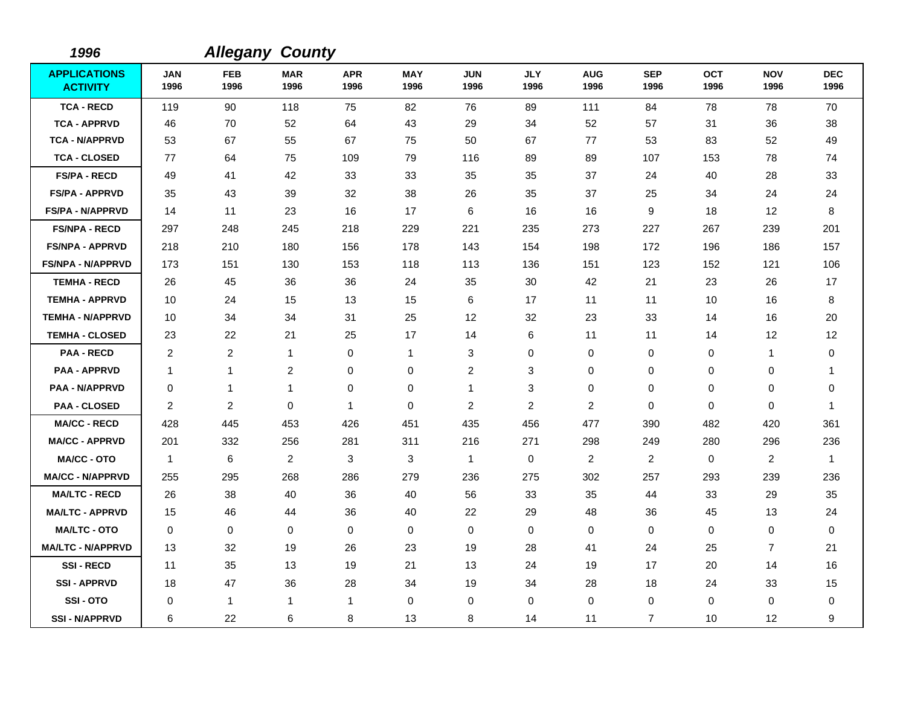| 1996                                   |                    | <b>Allegany County</b>  |                    |                    |                    |                    |                    |                         |                    |                    |                    |                    |
|----------------------------------------|--------------------|-------------------------|--------------------|--------------------|--------------------|--------------------|--------------------|-------------------------|--------------------|--------------------|--------------------|--------------------|
| <b>APPLICATIONS</b><br><b>ACTIVITY</b> | <b>JAN</b><br>1996 | <b>FEB</b><br>1996      | <b>MAR</b><br>1996 | <b>APR</b><br>1996 | <b>MAY</b><br>1996 | <b>JUN</b><br>1996 | <b>JLY</b><br>1996 | <b>AUG</b><br>1996      | <b>SEP</b><br>1996 | <b>OCT</b><br>1996 | <b>NOV</b><br>1996 | <b>DEC</b><br>1996 |
| <b>TCA - RECD</b>                      | 119                | 90                      | 118                | 75                 | 82                 | 76                 | 89                 | 111                     | 84                 | 78                 | 78                 | 70                 |
| <b>TCA - APPRVD</b>                    | 46                 | 70                      | 52                 | 64                 | 43                 | 29                 | 34                 | 52                      | 57                 | 31                 | 36                 | 38                 |
| <b>TCA - N/APPRVD</b>                  | 53                 | 67                      | 55                 | 67                 | 75                 | 50                 | 67                 | 77                      | 53                 | 83                 | 52                 | 49                 |
| <b>TCA - CLOSED</b>                    | 77                 | 64                      | 75                 | 109                | 79                 | 116                | 89                 | 89                      | 107                | 153                | 78                 | 74                 |
| <b>FS/PA - RECD</b>                    | 49                 | 41                      | 42                 | 33                 | 33                 | 35                 | 35                 | 37                      | 24                 | 40                 | 28                 | 33                 |
| <b>FS/PA - APPRVD</b>                  | 35                 | 43                      | 39                 | 32                 | 38                 | 26                 | 35                 | 37                      | 25                 | 34                 | 24                 | 24                 |
| <b>FS/PA - N/APPRVD</b>                | 14                 | 11                      | 23                 | 16                 | 17                 | 6                  | 16                 | 16                      | 9                  | 18                 | 12                 | 8                  |
| <b>FS/NPA - RECD</b>                   | 297                | 248                     | 245                | 218                | 229                | 221                | 235                | 273                     | 227                | 267                | 239                | 201                |
| <b>FS/NPA - APPRVD</b>                 | 218                | 210                     | 180                | 156                | 178                | 143                | 154                | 198                     | 172                | 196                | 186                | 157                |
| <b>FS/NPA - N/APPRVD</b>               | 173                | 151                     | 130                | 153                | 118                | 113                | 136                | 151                     | 123                | 152                | 121                | 106                |
| <b>TEMHA - RECD</b>                    | 26                 | 45                      | 36                 | 36                 | 24                 | 35                 | 30                 | 42                      | 21                 | 23                 | 26                 | 17                 |
| <b>TEMHA - APPRVD</b>                  | 10                 | 24                      | 15                 | 13                 | 15                 | 6                  | 17                 | 11                      | 11                 | 10                 | 16                 | 8                  |
| <b>TEMHA - N/APPRVD</b>                | 10                 | 34                      | 34                 | 31                 | 25                 | 12                 | 32                 | 23                      | 33                 | 14                 | 16                 | 20                 |
| <b>TEMHA - CLOSED</b>                  | 23                 | 22                      | 21                 | 25                 | 17                 | 14                 | 6                  | 11                      | 11                 | 14                 | 12                 | 12                 |
| <b>PAA - RECD</b>                      | 2                  | $\overline{\mathbf{c}}$ | $\mathbf{1}$       | 0                  | $\mathbf{1}$       | 3                  | $\mathbf 0$        | 0                       | $\mathbf 0$        | 0                  | $\mathbf{1}$       | 0                  |
| <b>PAA - APPRVD</b>                    | $\mathbf 1$        | $\mathbf{1}$            | $\overline{2}$     | 0                  | $\mathbf 0$        | $\overline{c}$     | 3                  | 0                       | $\mathbf 0$        | 0                  | 0                  | 1                  |
| <b>PAA - N/APPRVD</b>                  | 0                  | 1                       | 1                  | 0                  | $\pmb{0}$          | 1                  | 3                  | 0                       | $\mathbf 0$        | 0                  | 0                  | 0                  |
| <b>PAA - CLOSED</b>                    | 2                  | $\overline{c}$          | $\mathbf 0$        | 1                  | $\mathbf 0$        | $\overline{c}$     | 2                  | $\overline{c}$          | $\mathbf 0$        | 0                  | 0                  | 1                  |
| <b>MA/CC - RECD</b>                    | 428                | 445                     | 453                | 426                | 451                | 435                | 456                | 477                     | 390                | 482                | 420                | 361                |
| <b>MA/CC - APPRVD</b>                  | 201                | 332                     | 256                | 281                | 311                | 216                | 271                | 298                     | 249                | 280                | 296                | 236                |
| <b>MA/CC - OTO</b>                     | $\mathbf{1}$       | 6                       | $\overline{2}$     | 3                  | 3                  | $\mathbf{1}$       | 0                  | $\overline{\mathbf{c}}$ | $\overline{c}$     | 0                  | $\overline{c}$     | 1                  |
| <b>MA/CC - N/APPRVD</b>                | 255                | 295                     | 268                | 286                | 279                | 236                | 275                | 302                     | 257                | 293                | 239                | 236                |
| <b>MA/LTC - RECD</b>                   | 26                 | 38                      | 40                 | 36                 | 40                 | 56                 | 33                 | 35                      | 44                 | 33                 | 29                 | 35                 |
| <b>MA/LTC - APPRVD</b>                 | 15                 | 46                      | 44                 | 36                 | 40                 | 22                 | 29                 | 48                      | 36                 | 45                 | 13                 | 24                 |
| <b>MA/LTC - OTO</b>                    | $\mathbf 0$        | 0                       | $\mathbf 0$        | $\mathbf 0$        | 0                  | 0                  | $\mathbf 0$        | 0                       | $\mathbf 0$        | 0                  | $\pmb{0}$          | 0                  |
| <b>MA/LTC - N/APPRVD</b>               | 13                 | 32                      | 19                 | 26                 | 23                 | 19                 | 28                 | 41                      | 24                 | 25                 | $\overline{7}$     | 21                 |
| <b>SSI-RECD</b>                        | 11                 | 35                      | 13                 | 19                 | 21                 | 13                 | 24                 | 19                      | 17                 | 20                 | 14                 | 16                 |
| <b>SSI-APPRVD</b>                      | 18                 | 47                      | 36                 | 28                 | 34                 | 19                 | 34                 | 28                      | 18                 | 24                 | 33                 | 15                 |
| SSI-OTO                                | 0                  | 1                       | $\mathbf{1}$       | 1                  | 0                  | 0                  | 0                  | 0                       | 0                  | 0                  | 0                  | 0                  |
| <b>SSI - N/APPRVD</b>                  | 6                  | 22                      | 6                  | 8                  | 13                 | 8                  | 14                 | 11                      | $\overline{7}$     | 10                 | 12                 | 9                  |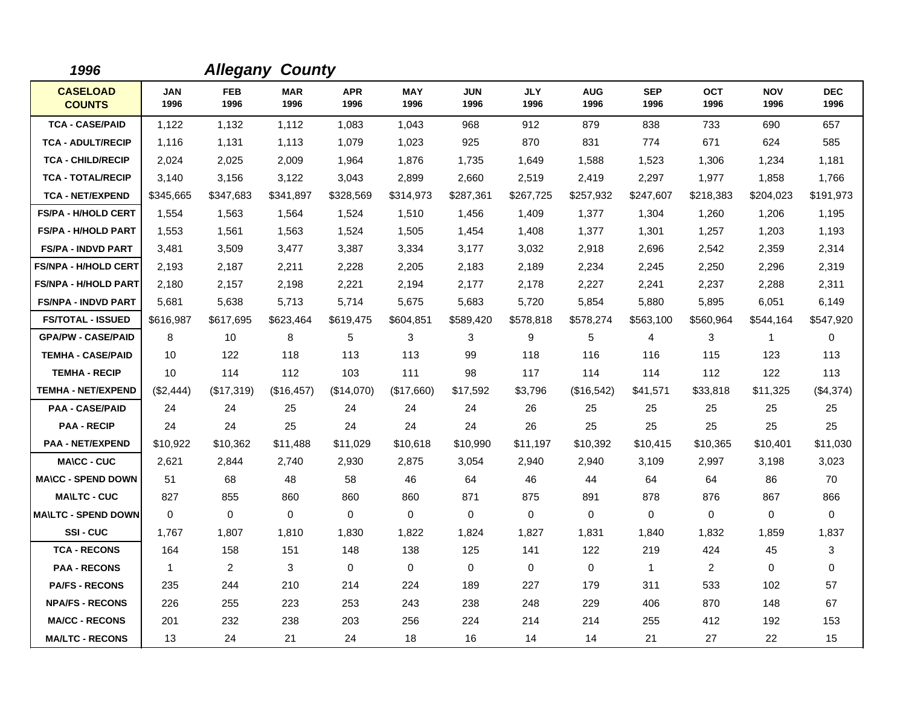| 1996                             |                    | <b>Allegany</b>    | <b>County</b>      |                    |                    |                    |                    |                    |                    |                    |                    |                    |
|----------------------------------|--------------------|--------------------|--------------------|--------------------|--------------------|--------------------|--------------------|--------------------|--------------------|--------------------|--------------------|--------------------|
| <b>CASELOAD</b><br><b>COUNTS</b> | <b>JAN</b><br>1996 | <b>FEB</b><br>1996 | <b>MAR</b><br>1996 | <b>APR</b><br>1996 | <b>MAY</b><br>1996 | <b>JUN</b><br>1996 | <b>JLY</b><br>1996 | <b>AUG</b><br>1996 | <b>SEP</b><br>1996 | <b>OCT</b><br>1996 | <b>NOV</b><br>1996 | <b>DEC</b><br>1996 |
| <b>TCA - CASE/PAID</b>           | 1,122              | 1,132              | 1,112              | 1,083              | 1,043              | 968                | 912                | 879                | 838                | 733                | 690                | 657                |
| <b>TCA - ADULT/RECIP</b>         | 1,116              | 1,131              | 1,113              | 1,079              | 1,023              | 925                | 870                | 831                | 774                | 671                | 624                | 585                |
| <b>TCA - CHILD/RECIP</b>         | 2,024              | 2,025              | 2,009              | 1,964              | 1,876              | 1,735              | 1,649              | 1,588              | 1,523              | 1,306              | 1,234              | 1,181              |
| <b>TCA - TOTAL/RECIP</b>         | 3,140              | 3,156              | 3,122              | 3,043              | 2,899              | 2,660              | 2,519              | 2,419              | 2,297              | 1,977              | 1,858              | 1,766              |
| <b>TCA - NET/EXPEND</b>          | \$345,665          | \$347,683          | \$341,897          | \$328,569          | \$314,973          | \$287,361          | \$267,725          | \$257,932          | \$247,607          | \$218,383          | \$204,023          | \$191,973          |
| FS/PA - H/HOLD CERT              | 1,554              | 1,563              | 1,564              | 1,524              | 1,510              | 1,456              | 1,409              | 1,377              | 1,304              | 1,260              | 1,206              | 1,195              |
| <b>FS/PA - H/HOLD PART</b>       | 1,553              | 1,561              | 1,563              | 1,524              | 1,505              | 1,454              | 1,408              | 1,377              | 1,301              | 1,257              | 1,203              | 1,193              |
| <b>FS/PA - INDVD PART</b>        | 3,481              | 3,509              | 3,477              | 3,387              | 3,334              | 3,177              | 3,032              | 2,918              | 2,696              | 2,542              | 2,359              | 2,314              |
| <b>FS/NPA - H/HOLD CERT</b>      | 2,193              | 2,187              | 2,211              | 2,228              | 2,205              | 2,183              | 2,189              | 2,234              | 2,245              | 2,250              | 2,296              | 2,319              |
| <b>FS/NPA - H/HOLD PART</b>      | 2,180              | 2,157              | 2,198              | 2,221              | 2,194              | 2,177              | 2,178              | 2,227              | 2,241              | 2,237              | 2,288              | 2,311              |
| <b>FS/NPA - INDVD PART</b>       | 5,681              | 5,638              | 5,713              | 5,714              | 5,675              | 5,683              | 5,720              | 5,854              | 5,880              | 5,895              | 6,051              | 6,149              |
| <b>FS/TOTAL - ISSUED</b>         | \$616,987          | \$617,695          | \$623,464          | \$619,475          | \$604,851          | \$589,420          | \$578,818          | \$578,274          | \$563,100          | \$560,964          | \$544,164          | \$547,920          |
| <b>GPA/PW - CASE/PAID</b>        | 8                  | 10                 | 8                  | 5                  | 3                  | 3                  | 9                  | 5                  | $\overline{4}$     | 3                  | $\mathbf{1}$       | 0                  |
| <b>TEMHA - CASE/PAID</b>         | 10                 | 122                | 118                | 113                | 113                | 99                 | 118                | 116                | 116                | 115                | 123                | 113                |
| <b>TEMHA - RECIP</b>             | 10                 | 114                | 112                | 103                | 111                | 98                 | 117                | 114                | 114                | 112                | 122                | 113                |
| <b>TEMHA - NET/EXPEND</b>        | (\$2,444)          | (\$17,319)         | (\$16,457)         | (\$14,070)         | (\$17,660)         | \$17,592           | \$3,796            | (\$16,542)         | \$41,571           | \$33,818           | \$11,325           | (\$4,374)          |
| <b>PAA - CASE/PAID</b>           | 24                 | 24                 | 25                 | 24                 | 24                 | 24                 | 26                 | 25                 | 25                 | 25                 | 25                 | 25                 |
| <b>PAA - RECIP</b>               | 24                 | 24                 | 25                 | 24                 | 24                 | 24                 | 26                 | 25                 | 25                 | 25                 | 25                 | 25                 |
| <b>PAA - NET/EXPEND</b>          | \$10,922           | \$10,362           | \$11,488           | \$11,029           | \$10,618           | \$10,990           | \$11,197           | \$10,392           | \$10,415           | \$10,365           | \$10,401           | \$11,030           |
| <b>MA\CC - CUC</b>               | 2,621              | 2,844              | 2,740              | 2,930              | 2,875              | 3,054              | 2,940              | 2,940              | 3,109              | 2,997              | 3,198              | 3,023              |
| <b>MA\CC - SPEND DOWN</b>        | 51                 | 68                 | 48                 | 58                 | 46                 | 64                 | 46                 | 44                 | 64                 | 64                 | 86                 | 70                 |
| <b>MA\LTC - CUC</b>              | 827                | 855                | 860                | 860                | 860                | 871                | 875                | 891                | 878                | 876                | 867                | 866                |
| <b>MAILTC - SPEND DOWN</b>       | $\Omega$           | $\Omega$           | $\mathbf 0$        | $\Omega$           | 0                  | $\Omega$           | $\Omega$           | 0                  | $\Omega$           | $\Omega$           | $\mathbf 0$        | $\Omega$           |
| <b>SSI-CUC</b>                   | 1.767              | 1,807              | 1.810              | 1.830              | 1,822              | 1,824              | 1,827              | 1.831              | 1,840              | 1,832              | 1,859              | 1,837              |
| <b>TCA - RECONS</b>              | 164                | 158                | 151                | 148                | 138                | 125                | 141                | 122                | 219                | 424                | 45                 | 3                  |
| <b>PAA - RECONS</b>              | $\overline{1}$     | $\overline{2}$     | 3                  | 0                  | 0                  | 0                  | 0                  | 0                  | $\mathbf 1$        | $\overline{2}$     | $\mathbf 0$        | 0                  |
| <b>PA/FS - RECONS</b>            | 235                | 244                | 210                | 214                | 224                | 189                | 227                | 179                | 311                | 533                | 102                | 57                 |
| <b>NPA/FS - RECONS</b>           | 226                | 255                | 223                | 253                | 243                | 238                | 248                | 229                | 406                | 870                | 148                | 67                 |
| <b>MA/CC - RECONS</b>            | 201                | 232                | 238                | 203                | 256                | 224                | 214                | 214                | 255                | 412                | 192                | 153                |
| <b>MA/LTC - RECONS</b>           | 13                 | 24                 | 21                 | 24                 | 18                 | 16                 | 14                 | 14                 | 21                 | 27                 | 22                 | 15                 |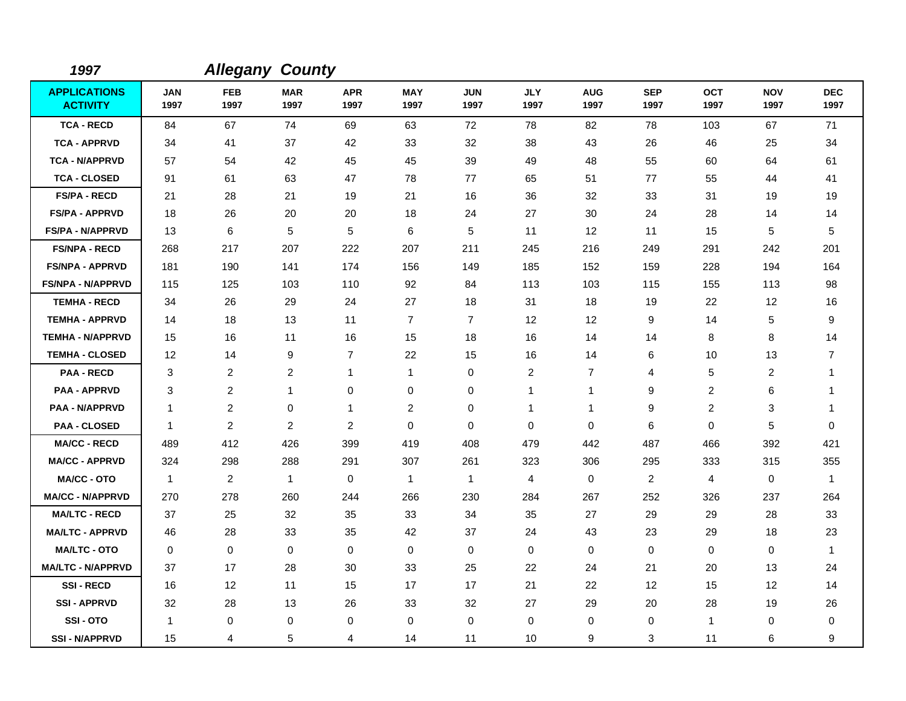| 1997                                   |                    | <b>Allegany County</b> |                    |                    |                    |                    |                    |                    |                    |                    |                    |                    |
|----------------------------------------|--------------------|------------------------|--------------------|--------------------|--------------------|--------------------|--------------------|--------------------|--------------------|--------------------|--------------------|--------------------|
| <b>APPLICATIONS</b><br><b>ACTIVITY</b> | <b>JAN</b><br>1997 | <b>FEB</b><br>1997     | <b>MAR</b><br>1997 | <b>APR</b><br>1997 | <b>MAY</b><br>1997 | <b>JUN</b><br>1997 | <b>JLY</b><br>1997 | <b>AUG</b><br>1997 | <b>SEP</b><br>1997 | <b>OCT</b><br>1997 | <b>NOV</b><br>1997 | <b>DEC</b><br>1997 |
| <b>TCA - RECD</b>                      | 84                 | 67                     | 74                 | 69                 | 63                 | 72                 | 78                 | 82                 | 78                 | 103                | 67                 | 71                 |
| <b>TCA - APPRVD</b>                    | 34                 | 41                     | 37                 | 42                 | 33                 | 32                 | 38                 | 43                 | 26                 | 46                 | 25                 | 34                 |
| <b>TCA - N/APPRVD</b>                  | 57                 | 54                     | 42                 | 45                 | 45                 | 39                 | 49                 | 48                 | 55                 | 60                 | 64                 | 61                 |
| <b>TCA - CLOSED</b>                    | 91                 | 61                     | 63                 | 47                 | 78                 | 77                 | 65                 | 51                 | 77                 | 55                 | 44                 | 41                 |
| <b>FS/PA - RECD</b>                    | 21                 | 28                     | 21                 | 19                 | 21                 | 16                 | 36                 | 32                 | 33                 | 31                 | 19                 | 19                 |
| <b>FS/PA - APPRVD</b>                  | 18                 | 26                     | 20                 | 20                 | 18                 | 24                 | 27                 | 30                 | 24                 | 28                 | 14                 | 14                 |
| <b>FS/PA - N/APPRVD</b>                | 13                 | 6                      | 5                  | $\sqrt{5}$         | 6                  | 5                  | 11                 | 12                 | 11                 | 15                 | 5                  | 5                  |
| <b>FS/NPA - RECD</b>                   | 268                | 217                    | 207                | 222                | 207                | 211                | 245                | 216                | 249                | 291                | 242                | 201                |
| <b>FS/NPA - APPRVD</b>                 | 181                | 190                    | 141                | 174                | 156                | 149                | 185                | 152                | 159                | 228                | 194                | 164                |
| <b>FS/NPA - N/APPRVD</b>               | 115                | 125                    | 103                | 110                | 92                 | 84                 | 113                | 103                | 115                | 155                | 113                | 98                 |
| <b>TEMHA - RECD</b>                    | 34                 | 26                     | 29                 | 24                 | 27                 | 18                 | 31                 | 18                 | 19                 | 22                 | 12                 | 16                 |
| <b>TEMHA - APPRVD</b>                  | 14                 | 18                     | 13                 | 11                 | $\overline{7}$     | $\overline{7}$     | 12                 | 12                 | 9                  | 14                 | 5                  | 9                  |
| <b>TEMHA - N/APPRVD</b>                | 15                 | 16                     | 11                 | 16                 | 15                 | 18                 | 16                 | 14                 | 14                 | 8                  | 8                  | 14                 |
| <b>TEMHA - CLOSED</b>                  | 12                 | 14                     | 9                  | $\overline{7}$     | 22                 | 15                 | 16                 | 14                 | 6                  | 10                 | 13                 | 7                  |
| <b>PAA - RECD</b>                      | 3                  | 2                      | 2                  | 1                  | $\mathbf{1}$       | 0                  | $\overline{c}$     | 7                  | 4                  | 5                  | $\overline{c}$     |                    |
| <b>PAA - APPRVD</b>                    | 3                  | 2                      | 1                  | 0                  | 0                  | 0                  | 1                  | 1                  | 9                  | $\overline{2}$     | 6                  | -1                 |
| <b>PAA - N/APPRVD</b>                  | $\mathbf 1$        | 2                      | 0                  | 1                  | $\overline{c}$     | 0                  | 1                  | $\mathbf{1}$       | 9                  | 2                  | 3                  | 1                  |
| <b>PAA - CLOSED</b>                    | $\mathbf{1}$       | 2                      | $\overline{2}$     | $\overline{2}$     | 0                  | $\Omega$           | 0                  | 0                  | 6                  | $\mathbf 0$        | 5                  | 0                  |
| <b>MA/CC - RECD</b>                    | 489                | 412                    | 426                | 399                | 419                | 408                | 479                | 442                | 487                | 466                | 392                | 421                |
| <b>MA/CC - APPRVD</b>                  | 324                | 298                    | 288                | 291                | 307                | 261                | 323                | 306                | 295                | 333                | 315                | 355                |
| <b>MA/CC - OTO</b>                     | $\mathbf{1}$       | 2                      | $\overline{1}$     | 0                  | $\mathbf{1}$       | $\overline{1}$     | 4                  | 0                  | $\overline{c}$     | $\overline{4}$     | $\mathbf 0$        | 1                  |
| <b>MA/CC - N/APPRVD</b>                | 270                | 278                    | 260                | 244                | 266                | 230                | 284                | 267                | 252                | 326                | 237                | 264                |
| <b>MA/LTC - RECD</b>                   | 37                 | 25                     | 32                 | 35                 | 33                 | 34                 | 35                 | 27                 | 29                 | 29                 | 28                 | 33                 |
| <b>MA/LTC - APPRVD</b>                 | 46                 | 28                     | 33                 | 35                 | 42                 | 37                 | 24                 | 43                 | 23                 | 29                 | 18                 | 23                 |
| <b>MA/LTC - OTO</b>                    | $\mathbf 0$        | $\mathbf 0$            | $\mathbf 0$        | $\mathbf 0$        | $\mathbf 0$        | $\mathbf 0$        | 0                  | 0                  | $\Omega$           | $\mathbf 0$        | $\mathbf 0$        | $\mathbf{1}$       |
| <b>MA/LTC - N/APPRVD</b>               | 37                 | 17                     | 28                 | 30                 | 33                 | 25                 | 22                 | 24                 | 21                 | 20                 | 13                 | 24                 |
| <b>SSI-RECD</b>                        | 16                 | 12                     | 11                 | 15                 | 17                 | 17                 | 21                 | 22                 | 12                 | 15                 | 12                 | 14                 |
| <b>SSI-APPRVD</b>                      | 32                 | 28                     | 13                 | 26                 | 33                 | 32                 | 27                 | 29                 | 20                 | 28                 | 19                 | 26                 |
| SSI-OTO                                | -1                 | 0                      | 0                  | 0                  | 0                  | $\mathbf 0$        | 0                  | 0                  | 0                  | $\mathbf{1}$       | 0                  | 0                  |
| <b>SSI-N/APPRVD</b>                    | 15                 | 4                      | 5                  | 4                  | 14                 | 11                 | 10                 | 9                  | 3                  | 11                 | 6                  | 9                  |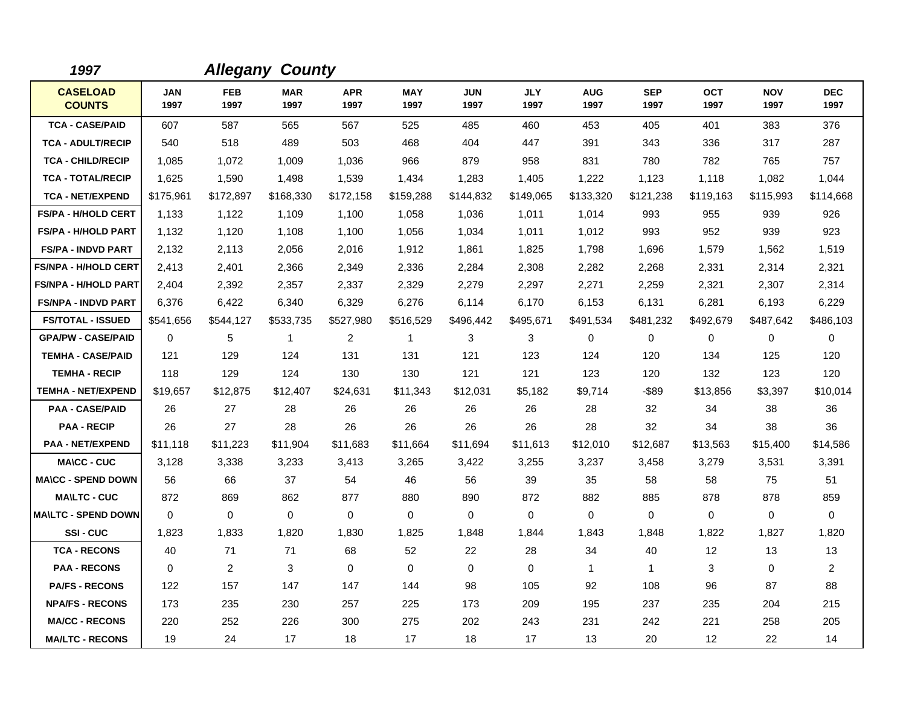| 1997                             |                    |                    | <b>Allegany County</b> |                    |                    |                    |                    |                    |                    |                    |                    |                    |
|----------------------------------|--------------------|--------------------|------------------------|--------------------|--------------------|--------------------|--------------------|--------------------|--------------------|--------------------|--------------------|--------------------|
| <b>CASELOAD</b><br><b>COUNTS</b> | <b>JAN</b><br>1997 | <b>FEB</b><br>1997 | <b>MAR</b><br>1997     | <b>APR</b><br>1997 | <b>MAY</b><br>1997 | <b>JUN</b><br>1997 | <b>JLY</b><br>1997 | <b>AUG</b><br>1997 | <b>SEP</b><br>1997 | <b>OCT</b><br>1997 | <b>NOV</b><br>1997 | <b>DEC</b><br>1997 |
| <b>TCA - CASE/PAID</b>           | 607                | 587                | 565                    | 567                | 525                | 485                | 460                | 453                | 405                | 401                | 383                | 376                |
| <b>TCA - ADULT/RECIP</b>         | 540                | 518                | 489                    | 503                | 468                | 404                | 447                | 391                | 343                | 336                | 317                | 287                |
| <b>TCA - CHILD/RECIP</b>         | 1,085              | 1,072              | 1,009                  | 1,036              | 966                | 879                | 958                | 831                | 780                | 782                | 765                | 757                |
| <b>TCA - TOTAL/RECIP</b>         | 1,625              | 1,590              | 1,498                  | 1,539              | 1,434              | 1,283              | 1,405              | 1,222              | 1,123              | 1,118              | 1,082              | 1,044              |
| <b>TCA - NET/EXPEND</b>          | \$175,961          | \$172,897          | \$168,330              | \$172,158          | \$159,288          | \$144,832          | \$149,065          | \$133,320          | \$121,238          | \$119,163          | \$115,993          | \$114,668          |
| <b>FS/PA - H/HOLD CERT</b>       | 1,133              | 1,122              | 1.109                  | 1,100              | 1,058              | 1,036              | 1,011              | 1,014              | 993                | 955                | 939                | 926                |
| <b>FS/PA - H/HOLD PART</b>       | 1,132              | 1,120              | 1,108                  | 1,100              | 1,056              | 1,034              | 1,011              | 1,012              | 993                | 952                | 939                | 923                |
| <b>FS/PA - INDVD PART</b>        | 2,132              | 2,113              | 2,056                  | 2,016              | 1,912              | 1,861              | 1,825              | 1,798              | 1,696              | 1,579              | 1,562              | 1,519              |
| <b>FS/NPA - H/HOLD CERT</b>      | 2,413              | 2,401              | 2,366                  | 2,349              | 2,336              | 2,284              | 2,308              | 2,282              | 2,268              | 2,331              | 2,314              | 2,321              |
| <b>FS/NPA - H/HOLD PART</b>      | 2,404              | 2,392              | 2,357                  | 2,337              | 2,329              | 2,279              | 2,297              | 2,271              | 2,259              | 2,321              | 2,307              | 2,314              |
| <b>FS/NPA - INDVD PART</b>       | 6,376              | 6,422              | 6,340                  | 6,329              | 6,276              | 6,114              | 6,170              | 6,153              | 6,131              | 6,281              | 6,193              | 6,229              |
| <b>FS/TOTAL - ISSUED</b>         | \$541,656          | \$544,127          | \$533,735              | \$527,980          | \$516,529          | \$496,442          | \$495,671          | \$491,534          | \$481,232          | \$492,679          | \$487,642          | \$486,103          |
| <b>GPA/PW - CASE/PAID</b>        | 0                  | 5                  | $\mathbf{1}$           | $\overline{2}$     | $\mathbf 1$        | 3                  | 3                  | 0                  | $\mathbf 0$        | 0                  | $\mathbf 0$        | 0                  |
| <b>TEMHA - CASE/PAID</b>         | 121                | 129                | 124                    | 131                | 131                | 121                | 123                | 124                | 120                | 134                | 125                | 120                |
| <b>TEMHA - RECIP</b>             | 118                | 129                | 124                    | 130                | 130                | 121                | 121                | 123                | 120                | 132                | 123                | 120                |
| <b>TEMHA - NET/EXPEND</b>        | \$19,657           | \$12,875           | \$12,407               | \$24,631           | \$11,343           | \$12,031           | \$5,182            | \$9,714            | -\$89              | \$13,856           | \$3,397            | \$10,014           |
| <b>PAA - CASE/PAID</b>           | 26                 | 27                 | 28                     | 26                 | 26                 | 26                 | 26                 | 28                 | 32                 | 34                 | 38                 | 36                 |
| <b>PAA - RECIP</b>               | 26                 | 27                 | 28                     | 26                 | 26                 | 26                 | 26                 | 28                 | 32                 | 34                 | 38                 | 36                 |
| <b>PAA - NET/EXPEND</b>          | \$11,118           | \$11,223           | \$11,904               | \$11,683           | \$11,664           | \$11,694           | \$11,613           | \$12,010           | \$12,687           | \$13,563           | \$15,400           | \$14,586           |
| <b>MA\CC - CUC</b>               | 3,128              | 3,338              | 3,233                  | 3,413              | 3,265              | 3,422              | 3,255              | 3,237              | 3,458              | 3,279              | 3,531              | 3,391              |
| <b>MA\CC - SPEND DOWN</b>        | 56                 | 66                 | 37                     | 54                 | 46                 | 56                 | 39                 | 35                 | 58                 | 58                 | 75                 | 51                 |
| <b>MAILTC - CUC</b>              | 872                | 869                | 862                    | 877                | 880                | 890                | 872                | 882                | 885                | 878                | 878                | 859                |
| <b>MAILTC - SPEND DOWN</b>       | 0                  | $\mathbf 0$        | $\mathbf 0$            | $\mathbf 0$        | $\mathbf 0$        | $\mathbf 0$        | 0                  | 0                  | $\mathbf 0$        | 0                  | $\mathbf 0$        | $\mathbf 0$        |
| SSI-CUC                          | 1,823              | 1,833              | 1,820                  | 1,830              | 1,825              | 1,848              | 1,844              | 1,843              | 1,848              | 1,822              | 1,827              | 1,820              |
| <b>TCA - RECONS</b>              | 40                 | 71                 | 71                     | 68                 | 52                 | 22                 | 28                 | 34                 | 40                 | 12                 | 13                 | 13                 |
| <b>PAA - RECONS</b>              | $\Omega$           | 2                  | 3                      | $\Omega$           | $\Omega$           | $\Omega$           | $\Omega$           | $\mathbf{1}$       | $\mathbf{1}$       | 3                  | $\mathbf{0}$       | $\overline{c}$     |
| <b>PA/FS - RECONS</b>            | 122                | 157                | 147                    | 147                | 144                | 98                 | 105                | 92                 | 108                | 96                 | 87                 | 88                 |
| <b>NPA/FS - RECONS</b>           | 173                | 235                | 230                    | 257                | 225                | 173                | 209                | 195                | 237                | 235                | 204                | 215                |
| <b>MA/CC - RECONS</b>            | 220                | 252                | 226                    | 300                | 275                | 202                | 243                | 231                | 242                | 221                | 258                | 205                |
| <b>MA/LTC - RECONS</b>           | 19                 | 24                 | 17                     | 18                 | 17                 | 18                 | 17                 | 13                 | 20                 | 12                 | 22                 | 14                 |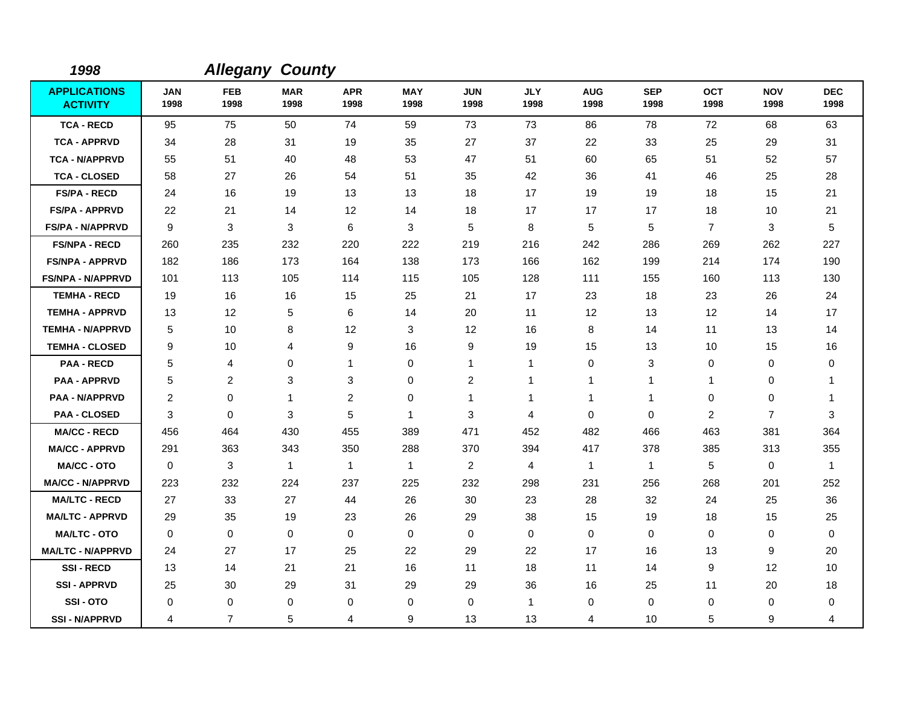| 1998                                   |                    | <b>Allegany County</b> |                    |                    |                    |                    |                    |                    |                    |                    |                    |                    |
|----------------------------------------|--------------------|------------------------|--------------------|--------------------|--------------------|--------------------|--------------------|--------------------|--------------------|--------------------|--------------------|--------------------|
| <b>APPLICATIONS</b><br><b>ACTIVITY</b> | <b>JAN</b><br>1998 | <b>FEB</b><br>1998     | <b>MAR</b><br>1998 | <b>APR</b><br>1998 | <b>MAY</b><br>1998 | <b>JUN</b><br>1998 | <b>JLY</b><br>1998 | <b>AUG</b><br>1998 | <b>SEP</b><br>1998 | <b>OCT</b><br>1998 | <b>NOV</b><br>1998 | <b>DEC</b><br>1998 |
| <b>TCA - RECD</b>                      | 95                 | 75                     | 50                 | 74                 | 59                 | 73                 | 73                 | 86                 | 78                 | 72                 | 68                 | 63                 |
| <b>TCA - APPRVD</b>                    | 34                 | 28                     | 31                 | 19                 | 35                 | 27                 | 37                 | 22                 | 33                 | 25                 | 29                 | 31                 |
| <b>TCA - N/APPRVD</b>                  | 55                 | 51                     | 40                 | 48                 | 53                 | 47                 | 51                 | 60                 | 65                 | 51                 | 52                 | 57                 |
| <b>TCA - CLOSED</b>                    | 58                 | 27                     | 26                 | 54                 | 51                 | 35                 | 42                 | 36                 | 41                 | 46                 | 25                 | 28                 |
| <b>FS/PA - RECD</b>                    | 24                 | 16                     | 19                 | 13                 | 13                 | 18                 | 17                 | 19                 | 19                 | 18                 | 15                 | 21                 |
| <b>FS/PA - APPRVD</b>                  | 22                 | 21                     | 14                 | 12                 | 14                 | 18                 | 17                 | 17                 | 17                 | 18                 | 10                 | 21                 |
| <b>FS/PA - N/APPRVD</b>                | 9                  | 3                      | 3                  | 6                  | 3                  | 5                  | 8                  | 5                  | 5                  | $\overline{7}$     | 3                  | 5                  |
| <b>FS/NPA - RECD</b>                   | 260                | 235                    | 232                | 220                | 222                | 219                | 216                | 242                | 286                | 269                | 262                | 227                |
| <b>FS/NPA - APPRVD</b>                 | 182                | 186                    | 173                | 164                | 138                | 173                | 166                | 162                | 199                | 214                | 174                | 190                |
| <b>FS/NPA - N/APPRVD</b>               | 101                | 113                    | 105                | 114                | 115                | 105                | 128                | 111                | 155                | 160                | 113                | 130                |
| <b>TEMHA - RECD</b>                    | 19                 | 16                     | 16                 | 15                 | 25                 | 21                 | 17                 | 23                 | 18                 | 23                 | 26                 | 24                 |
| <b>TEMHA - APPRVD</b>                  | 13                 | 12                     | 5                  | 6                  | 14                 | 20                 | 11                 | 12                 | 13                 | $12 \overline{ }$  | 14                 | 17                 |
| <b>TEMHA - N/APPRVD</b>                | 5                  | 10                     | 8                  | 12                 | 3                  | 12                 | 16                 | 8                  | 14                 | 11                 | 13                 | 14                 |
| <b>TEMHA - CLOSED</b>                  | 9                  | 10                     | 4                  | 9                  | 16                 | 9                  | 19                 | 15                 | 13                 | 10                 | 15                 | 16                 |
| <b>PAA - RECD</b>                      | 5                  | 4                      | 0                  | 1                  | 0                  | 1                  | 1                  | 0                  | 3                  | 0                  | 0                  | 0                  |
| <b>PAA - APPRVD</b>                    | 5                  | $\overline{c}$         | 3                  | 3                  | 0                  | $\overline{c}$     | 1                  | 1                  | $\overline{1}$     | 1                  | 0                  | 1                  |
| <b>PAA - N/APPRVD</b>                  | $\overline{c}$     | 0                      | $\mathbf{1}$       | $\overline{2}$     | 0                  | 1                  | $\mathbf 1$        | 1                  | 1                  | 0                  | 0                  | 1                  |
| <b>PAA - CLOSED</b>                    | 3                  | 0                      | 3                  | 5                  | 1                  | 3                  | 4                  | $\mathbf 0$        | $\Omega$           | $\overline{2}$     | $\overline{7}$     | 3                  |
| <b>MA/CC - RECD</b>                    | 456                | 464                    | 430                | 455                | 389                | 471                | 452                | 482                | 466                | 463                | 381                | 364                |
| <b>MA/CC - APPRVD</b>                  | 291                | 363                    | 343                | 350                | 288                | 370                | 394                | 417                | 378                | 385                | 313                | 355                |
| <b>MA/CC - OTO</b>                     | $\mathbf 0$        | 3                      | $\mathbf{1}$       | $\mathbf{1}$       | $\mathbf{1}$       | $\overline{2}$     | $\overline{4}$     | $\mathbf{1}$       | $\mathbf{1}$       | 5                  | 0                  | $\mathbf{1}$       |
| <b>MA/CC - N/APPRVD</b>                | 223                | 232                    | 224                | 237                | 225                | 232                | 298                | 231                | 256                | 268                | 201                | 252                |
| <b>MA/LTC - RECD</b>                   | 27                 | 33                     | 27                 | 44                 | 26                 | 30                 | 23                 | 28                 | 32                 | 24                 | 25                 | 36                 |
| <b>MA/LTC - APPRVD</b>                 | 29                 | 35                     | 19                 | 23                 | 26                 | 29                 | 38                 | 15                 | 19                 | 18                 | 15                 | 25                 |
| <b>MA/LTC - OTO</b>                    | 0                  | $\mathbf 0$            | $\mathbf 0$        | $\mathbf 0$        | $\mathbf 0$        | $\mathbf 0$        | $\mathbf 0$        | 0                  | $\mathbf 0$        | $\mathbf 0$        | 0                  | $\mathbf 0$        |
| <b>MA/LTC - N/APPRVD</b>               | 24                 | 27                     | 17                 | 25                 | 22                 | 29                 | 22                 | 17                 | 16                 | 13                 | 9                  | 20                 |
| <b>SSI-RECD</b>                        | 13                 | 14                     | 21                 | 21                 | 16                 | 11                 | 18                 | 11                 | 14                 | 9                  | 12                 | 10                 |
| <b>SSI-APPRVD</b>                      | 25                 | 30                     | 29                 | 31                 | 29                 | 29                 | 36                 | 16                 | 25                 | 11                 | 20                 | 18                 |
| SSI-OTO                                | 0                  | 0                      | 0                  | 0                  | 0                  | $\mathbf 0$        | $\mathbf{1}$       | 0                  | $\mathbf 0$        | 0                  | 0                  | 0                  |
| <b>SSI - N/APPRVD</b>                  | 4                  | $\overline{7}$         | 5                  | 4                  | 9                  | 13                 | 13                 | 4                  | 10                 | 5                  | 9                  | 4                  |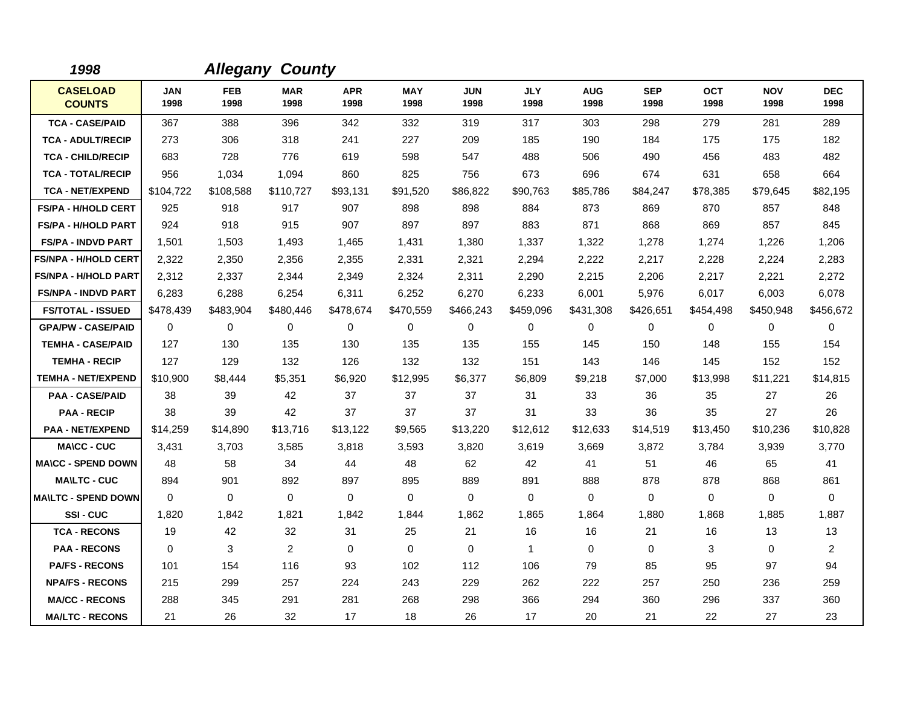| 1998                             |                    |                    | <b>Allegany County</b> |                    |                    |                    |                    |                    |                    |                    |                    |                    |
|----------------------------------|--------------------|--------------------|------------------------|--------------------|--------------------|--------------------|--------------------|--------------------|--------------------|--------------------|--------------------|--------------------|
| <b>CASELOAD</b><br><b>COUNTS</b> | <b>JAN</b><br>1998 | <b>FEB</b><br>1998 | <b>MAR</b><br>1998     | <b>APR</b><br>1998 | <b>MAY</b><br>1998 | <b>JUN</b><br>1998 | <b>JLY</b><br>1998 | <b>AUG</b><br>1998 | <b>SEP</b><br>1998 | <b>OCT</b><br>1998 | <b>NOV</b><br>1998 | <b>DEC</b><br>1998 |
| <b>TCA - CASE/PAID</b>           | 367                | 388                | 396                    | 342                | 332                | 319                | 317                | 303                | 298                | 279                | 281                | 289                |
| <b>TCA - ADULT/RECIP</b>         | 273                | 306                | 318                    | 241                | 227                | 209                | 185                | 190                | 184                | 175                | 175                | 182                |
| <b>TCA - CHILD/RECIP</b>         | 683                | 728                | 776                    | 619                | 598                | 547                | 488                | 506                | 490                | 456                | 483                | 482                |
| <b>TCA - TOTAL/RECIP</b>         | 956                | 1,034              | 1,094                  | 860                | 825                | 756                | 673                | 696                | 674                | 631                | 658                | 664                |
| <b>TCA - NET/EXPEND</b>          | \$104,722          | \$108,588          | \$110,727              | \$93,131           | \$91,520           | \$86,822           | \$90,763           | \$85,786           | \$84,247           | \$78,385           | \$79,645           | \$82,195           |
| <b>FS/PA - H/HOLD CERT</b>       | 925                | 918                | 917                    | 907                | 898                | 898                | 884                | 873                | 869                | 870                | 857                | 848                |
| <b>FS/PA - H/HOLD PART</b>       | 924                | 918                | 915                    | 907                | 897                | 897                | 883                | 871                | 868                | 869                | 857                | 845                |
| <b>FS/PA - INDVD PART</b>        | 1,501              | 1,503              | 1,493                  | 1,465              | 1,431              | 1,380              | 1,337              | 1,322              | 1,278              | 1,274              | 1,226              | 1,206              |
| <b>FS/NPA - H/HOLD CERT</b>      | 2,322              | 2,350              | 2,356                  | 2,355              | 2,331              | 2,321              | 2,294              | 2,222              | 2,217              | 2,228              | 2,224              | 2,283              |
| <b>FS/NPA - H/HOLD PART</b>      | 2,312              | 2,337              | 2,344                  | 2,349              | 2,324              | 2,311              | 2,290              | 2,215              | 2,206              | 2,217              | 2,221              | 2,272              |
| <b>FS/NPA - INDVD PART</b>       | 6,283              | 6,288              | 6,254                  | 6,311              | 6,252              | 6,270              | 6,233              | 6,001              | 5,976              | 6,017              | 6,003              | 6,078              |
| <b>FS/TOTAL - ISSUED</b>         | \$478,439          | \$483,904          | \$480,446              | \$478,674          | \$470,559          | \$466,243          | \$459,096          | \$431,308          | \$426,651          | \$454,498          | \$450,948          | \$456,672          |
| <b>GPA/PW - CASE/PAID</b>        | $\Omega$           | 0                  | 0                      | $\mathbf 0$        | 0                  | $\mathbf 0$        | $\mathbf 0$        | 0                  | $\mathbf 0$        | 0                  | $\mathbf 0$        | 0                  |
| <b>TEMHA - CASE/PAID</b>         | 127                | 130                | 135                    | 130                | 135                | 135                | 155                | 145                | 150                | 148                | 155                | 154                |
| <b>TEMHA - RECIP</b>             | 127                | 129                | 132                    | 126                | 132                | 132                | 151                | 143                | 146                | 145                | 152                | 152                |
| <b>TEMHA - NET/EXPEND</b>        | \$10,900           | \$8,444            | \$5,351                | \$6,920            | \$12,995           | \$6,377            | \$6.809            | \$9,218            | \$7,000            | \$13,998           | \$11,221           | \$14,815           |
| <b>PAA - CASE/PAID</b>           | 38                 | 39                 | 42                     | 37                 | 37                 | 37                 | 31                 | 33                 | 36                 | 35                 | 27                 | 26                 |
| <b>PAA - RECIP</b>               | 38                 | 39                 | 42                     | 37                 | 37                 | 37                 | 31                 | 33                 | 36                 | 35                 | 27                 | 26                 |
| <b>PAA - NET/EXPEND</b>          | \$14,259           | \$14,890           | \$13,716               | \$13,122           | \$9,565            | \$13,220           | \$12,612           | \$12,633           | \$14,519           | \$13,450           | \$10,236           | \$10,828           |
| <b>MA\CC - CUC</b>               | 3,431              | 3,703              | 3,585                  | 3,818              | 3,593              | 3,820              | 3,619              | 3,669              | 3,872              | 3,784              | 3,939              | 3,770              |
| <b>MA\CC - SPEND DOWN</b>        | 48                 | 58                 | 34                     | 44                 | 48                 | 62                 | 42                 | 41                 | 51                 | 46                 | 65                 | 41                 |
| <b>MAILTC - CUC</b>              | 894                | 901                | 892                    | 897                | 895                | 889                | 891                | 888                | 878                | 878                | 868                | 861                |
| <b>MA\LTC - SPEND DOWN</b>       | $\Omega$           | 0                  | $\mathbf 0$            | 0                  | $\mathbf 0$        | $\mathbf 0$        | $\mathbf 0$        | 0                  | 0                  | 0                  | 0                  | 0                  |
| <b>SSI-CUC</b>                   | 1,820              | 1,842              | 1,821                  | 1,842              | 1,844              | 1,862              | 1,865              | 1,864              | 1,880              | 1,868              | 1,885              | 1,887              |
| <b>TCA - RECONS</b>              | 19                 | 42                 | 32                     | 31                 | 25                 | 21                 | 16                 | 16                 | 21                 | 16                 | 13                 | 13                 |
| <b>PAA - RECONS</b>              | $\Omega$           | 3                  | $\overline{2}$         | 0                  | $\mathbf 0$        | $\mathbf 0$        | $\mathbf{1}$       | 0                  | 0                  | 3                  | 0                  | $\overline{2}$     |
| <b>PA/FS - RECONS</b>            | 101                | 154                | 116                    | 93                 | 102                | 112                | 106                | 79                 | 85                 | 95                 | 97                 | 94                 |
| <b>NPA/FS - RECONS</b>           | 215                | 299                | 257                    | 224                | 243                | 229                | 262                | 222                | 257                | 250                | 236                | 259                |
| <b>MA/CC - RECONS</b>            | 288                | 345                | 291                    | 281                | 268                | 298                | 366                | 294                | 360                | 296                | 337                | 360                |
| <b>MA/LTC - RECONS</b>           | 21                 | 26                 | 32                     | 17                 | 18                 | 26                 | 17                 | 20                 | 21                 | 22                 | 27                 | 23                 |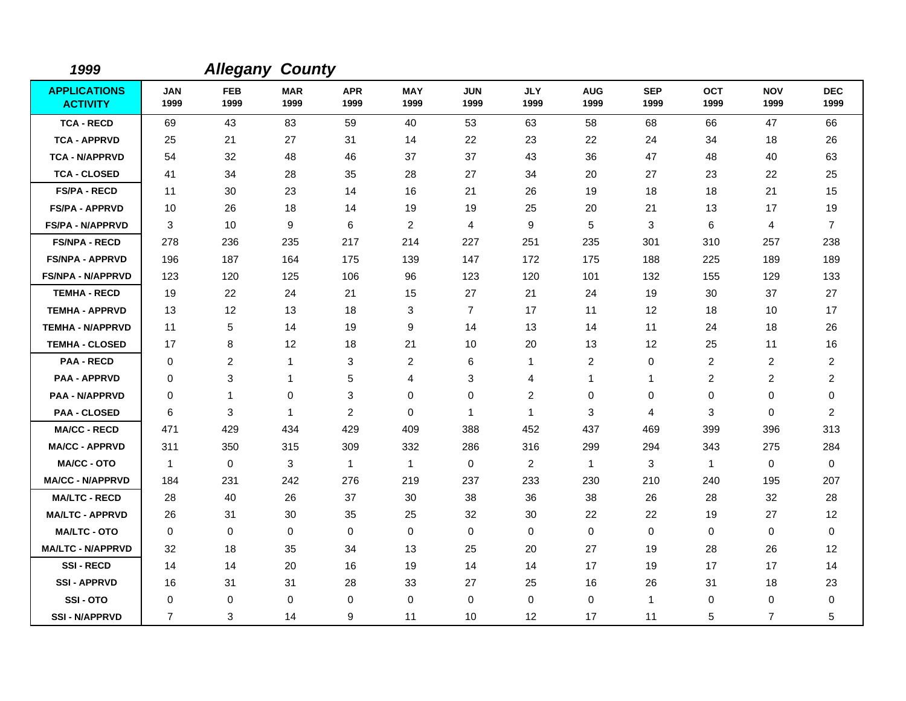| 1999                                   |                    | <b>Allegany</b>    | <b>County</b>      |                    |                    |                    |                    |                         |                    |                    |                    |                    |
|----------------------------------------|--------------------|--------------------|--------------------|--------------------|--------------------|--------------------|--------------------|-------------------------|--------------------|--------------------|--------------------|--------------------|
| <b>APPLICATIONS</b><br><b>ACTIVITY</b> | <b>JAN</b><br>1999 | <b>FEB</b><br>1999 | <b>MAR</b><br>1999 | <b>APR</b><br>1999 | <b>MAY</b><br>1999 | <b>JUN</b><br>1999 | <b>JLY</b><br>1999 | <b>AUG</b><br>1999      | <b>SEP</b><br>1999 | <b>OCT</b><br>1999 | <b>NOV</b><br>1999 | <b>DEC</b><br>1999 |
| <b>TCA - RECD</b>                      | 69                 | 43                 | 83                 | 59                 | 40                 | 53                 | 63                 | 58                      | 68                 | 66                 | 47                 | 66                 |
| <b>TCA - APPRVD</b>                    | 25                 | 21                 | 27                 | 31                 | 14                 | 22                 | 23                 | 22                      | 24                 | 34                 | 18                 | 26                 |
| <b>TCA - N/APPRVD</b>                  | 54                 | 32                 | 48                 | 46                 | 37                 | 37                 | 43                 | 36                      | 47                 | 48                 | 40                 | 63                 |
| <b>TCA - CLOSED</b>                    | 41                 | 34                 | 28                 | 35                 | 28                 | 27                 | 34                 | 20                      | 27                 | 23                 | 22                 | 25                 |
| <b>FS/PA - RECD</b>                    | 11                 | 30                 | 23                 | 14                 | 16                 | 21                 | 26                 | 19                      | 18                 | 18                 | 21                 | 15                 |
| <b>FS/PA - APPRVD</b>                  | 10                 | 26                 | 18                 | 14                 | 19                 | 19                 | 25                 | 20                      | 21                 | 13                 | 17                 | 19                 |
| <b>FS/PA - N/APPRVD</b>                | 3                  | 10                 | 9                  | 6                  | $\overline{2}$     | 4                  | 9                  | 5                       | 3                  | 6                  | 4                  | $\overline{7}$     |
| <b>FS/NPA - RECD</b>                   | 278                | 236                | 235                | 217                | 214                | 227                | 251                | 235                     | 301                | 310                | 257                | 238                |
| <b>FS/NPA - APPRVD</b>                 | 196                | 187                | 164                | 175                | 139                | 147                | 172                | 175                     | 188                | 225                | 189                | 189                |
| <b>FS/NPA - N/APPRVD</b>               | 123                | 120                | 125                | 106                | 96                 | 123                | 120                | 101                     | 132                | 155                | 129                | 133                |
| <b>TEMHA - RECD</b>                    | 19                 | 22                 | 24                 | 21                 | 15                 | 27                 | 21                 | 24                      | 19                 | 30                 | 37                 | 27                 |
| <b>TEMHA - APPRVD</b>                  | 13                 | 12                 | 13                 | 18                 | 3                  | $\overline{7}$     | 17                 | 11                      | 12                 | 18                 | 10                 | 17                 |
| <b>TEMHA - N/APPRVD</b>                | 11                 | 5                  | 14                 | 19                 | 9                  | 14                 | 13                 | 14                      | 11                 | 24                 | 18                 | 26                 |
| <b>TEMHA - CLOSED</b>                  | 17                 | 8                  | 12                 | 18                 | 21                 | 10                 | 20                 | 13                      | 12                 | 25                 | 11                 | 16                 |
| <b>PAA - RECD</b>                      | 0                  | $\overline{c}$     | $\mathbf{1}$       | 3                  | $\overline{c}$     | 6                  | 1                  | $\overline{\mathbf{c}}$ | 0                  | 2                  | 2                  | $\overline{c}$     |
| <b>PAA - APPRVD</b>                    | 0                  | 3                  | $\mathbf{1}$       | 5                  | 4                  | 3                  | 4                  | 1                       | $\mathbf{1}$       | $\overline{c}$     | $\overline{c}$     | $\overline{c}$     |
| <b>PAA - N/APPRVD</b>                  | 0                  | $\mathbf{1}$       | 0                  | 3                  | 0                  | 0                  | $\overline{c}$     | 0                       | 0                  | 0                  | 0                  | 0                  |
| <b>PAA - CLOSED</b>                    | 6                  | 3                  | $\mathbf{1}$       | $\overline{2}$     | 0                  | 1                  | $\mathbf{1}$       | 3                       | 4                  | 3                  | $\mathbf 0$        | $\overline{2}$     |
| <b>MA/CC - RECD</b>                    | 471                | 429                | 434                | 429                | 409                | 388                | 452                | 437                     | 469                | 399                | 396                | 313                |
| <b>MA/CC - APPRVD</b>                  | 311                | 350                | 315                | 309                | 332                | 286                | 316                | 299                     | 294                | 343                | 275                | 284                |
| <b>MA/CC - OTO</b>                     | $\mathbf{1}$       | 0                  | 3                  | $\mathbf{1}$       | $\overline{1}$     | $\mathbf 0$        | $\overline{2}$     | $\mathbf{1}$            | 3                  | $\mathbf{1}$       | $\mathbf 0$        | $\mathbf 0$        |
| <b>MA/CC - N/APPRVD</b>                | 184                | 231                | 242                | 276                | 219                | 237                | 233                | 230                     | 210                | 240                | 195                | 207                |
| <b>MA/LTC - RECD</b>                   | 28                 | 40                 | 26                 | 37                 | 30                 | 38                 | 36                 | 38                      | 26                 | 28                 | 32                 | 28                 |
| <b>MA/LTC - APPRVD</b>                 | 26                 | 31                 | 30                 | 35                 | 25                 | 32                 | 30                 | 22                      | 22                 | 19                 | 27                 | 12                 |
| <b>MA/LTC - OTO</b>                    | 0                  | 0                  | 0                  | 0                  | 0                  | 0                  | 0                  | 0                       | 0                  | 0                  | $\mathbf 0$        | 0                  |
| <b>MA/LTC - N/APPRVD</b>               | 32                 | 18                 | 35                 | 34                 | 13                 | 25                 | 20                 | 27                      | 19                 | 28                 | 26                 | 12                 |
| <b>SSI-RECD</b>                        | 14                 | 14                 | 20                 | 16                 | 19                 | 14                 | 14                 | 17                      | 19                 | 17                 | 17                 | 14                 |
| <b>SSI-APPRVD</b>                      | 16                 | 31                 | 31                 | 28                 | 33                 | 27                 | 25                 | 16                      | 26                 | 31                 | 18                 | 23                 |
| SSI-OTO                                | 0                  | 0                  | 0                  | 0                  | 0                  | 0                  | 0                  | 0                       | $\mathbf{1}$       | 0                  | 0                  | 0                  |
| <b>SSI-N/APPRVD</b>                    | $\overline{7}$     | 3                  | 14                 | 9                  | 11                 | 10                 | 12                 | 17                      | 11                 | 5                  | $\overline{7}$     | 5                  |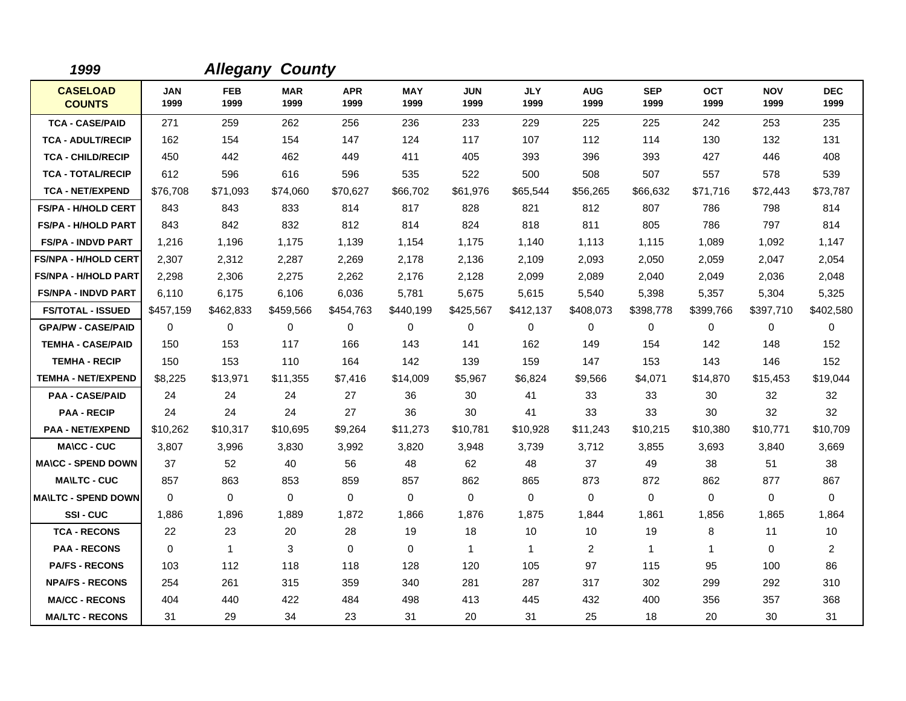| 1999                             |                    |                    | <b>Allegany County</b> |                    |                    |                    |                    |                    |                    |                    |                    |                    |
|----------------------------------|--------------------|--------------------|------------------------|--------------------|--------------------|--------------------|--------------------|--------------------|--------------------|--------------------|--------------------|--------------------|
| <b>CASELOAD</b><br><b>COUNTS</b> | <b>JAN</b><br>1999 | <b>FEB</b><br>1999 | <b>MAR</b><br>1999     | <b>APR</b><br>1999 | <b>MAY</b><br>1999 | <b>JUN</b><br>1999 | <b>JLY</b><br>1999 | <b>AUG</b><br>1999 | <b>SEP</b><br>1999 | <b>OCT</b><br>1999 | <b>NOV</b><br>1999 | <b>DEC</b><br>1999 |
| <b>TCA - CASE/PAID</b>           | 271                | 259                | 262                    | 256                | 236                | 233                | 229                | 225                | 225                | 242                | 253                | 235                |
| <b>TCA - ADULT/RECIP</b>         | 162                | 154                | 154                    | 147                | 124                | 117                | 107                | 112                | 114                | 130                | 132                | 131                |
| <b>TCA - CHILD/RECIP</b>         | 450                | 442                | 462                    | 449                | 411                | 405                | 393                | 396                | 393                | 427                | 446                | 408                |
| <b>TCA - TOTAL/RECIP</b>         | 612                | 596                | 616                    | 596                | 535                | 522                | 500                | 508                | 507                | 557                | 578                | 539                |
| <b>TCA - NET/EXPEND</b>          | \$76,708           | \$71,093           | \$74,060               | \$70,627           | \$66,702           | \$61,976           | \$65.544           | \$56,265           | \$66,632           | \$71,716           | \$72,443           | \$73,787           |
| <b>FS/PA - H/HOLD CERT</b>       | 843                | 843                | 833                    | 814                | 817                | 828                | 821                | 812                | 807                | 786                | 798                | 814                |
| <b>FS/PA - H/HOLD PART</b>       | 843                | 842                | 832                    | 812                | 814                | 824                | 818                | 811                | 805                | 786                | 797                | 814                |
| <b>FS/PA - INDVD PART</b>        | 1,216              | 1,196              | 1,175                  | 1,139              | 1,154              | 1,175              | 1,140              | 1,113              | 1,115              | 1,089              | 1,092              | 1,147              |
| <b>FS/NPA - H/HOLD CERT</b>      | 2,307              | 2,312              | 2,287                  | 2,269              | 2,178              | 2,136              | 2,109              | 2,093              | 2,050              | 2,059              | 2,047              | 2,054              |
| <b>FS/NPA - H/HOLD PART</b>      | 2,298              | 2,306              | 2,275                  | 2,262              | 2,176              | 2,128              | 2,099              | 2,089              | 2,040              | 2,049              | 2,036              | 2,048              |
| <b>FS/NPA - INDVD PART</b>       | 6,110              | 6,175              | 6,106                  | 6,036              | 5,781              | 5,675              | 5,615              | 5,540              | 5,398              | 5,357              | 5,304              | 5,325              |
| <b>FS/TOTAL - ISSUED</b>         | \$457,159          | \$462,833          | \$459,566              | \$454,763          | \$440,199          | \$425,567          | \$412,137          | \$408,073          | \$398,778          | \$399,766          | \$397,710          | \$402,580          |
| <b>GPA/PW - CASE/PAID</b>        | $\Omega$           | 0                  | $\mathbf 0$            | 0                  | $\mathbf 0$        | 0                  | $\mathbf 0$        | 0                  | $\mathbf 0$        | $\mathbf 0$        | $\mathbf 0$        | 0                  |
| <b>TEMHA - CASE/PAID</b>         | 150                | 153                | 117                    | 166                | 143                | 141                | 162                | 149                | 154                | 142                | 148                | 152                |
| <b>TEMHA - RECIP</b>             | 150                | 153                | 110                    | 164                | 142                | 139                | 159                | 147                | 153                | 143                | 146                | 152                |
| <b>TEMHA - NET/EXPEND</b>        | \$8,225            | \$13,971           | \$11,355               | \$7,416            | \$14,009           | \$5,967            | \$6,824            | \$9,566            | \$4,071            | \$14,870           | \$15,453           | \$19,044           |
| <b>PAA - CASE/PAID</b>           | 24                 | 24                 | 24                     | 27                 | 36                 | 30                 | 41                 | 33                 | 33                 | 30                 | 32                 | 32                 |
| <b>PAA - RECIP</b>               | 24                 | 24                 | 24                     | 27                 | 36                 | 30                 | 41                 | 33                 | 33                 | 30                 | 32                 | 32                 |
| <b>PAA - NET/EXPEND</b>          | \$10,262           | \$10,317           | \$10,695               | \$9,264            | \$11,273           | \$10,781           | \$10,928           | \$11,243           | \$10,215           | \$10,380           | \$10,771           | \$10,709           |
| <b>MA\CC - CUC</b>               | 3,807              | 3,996              | 3,830                  | 3,992              | 3,820              | 3,948              | 3,739              | 3,712              | 3,855              | 3,693              | 3,840              | 3,669              |
| <b>MA\CC - SPEND DOWN</b>        | 37                 | 52                 | 40                     | 56                 | 48                 | 62                 | 48                 | 37                 | 49                 | 38                 | 51                 | 38                 |
| <b>MAILTC - CUC</b>              | 857                | 863                | 853                    | 859                | 857                | 862                | 865                | 873                | 872                | 862                | 877                | 867                |
| <b>MAILTC - SPEND DOWN</b>       | $\Omega$           | 0                  | $\mathbf 0$            | $\mathbf 0$        | $\mathbf 0$        | 0                  | $\mathbf 0$        | 0                  | $\mathbf 0$        | $\mathbf 0$        | $\mathbf 0$        | $\mathbf 0$        |
| <b>SSI-CUC</b>                   | 1,886              | 1,896              | 1,889                  | 1,872              | 1,866              | 1,876              | 1,875              | 1,844              | 1,861              | 1,856              | 1,865              | 1,864              |
| <b>TCA - RECONS</b>              | 22                 | 23                 | 20                     | 28                 | 19                 | 18                 | 10                 | 10                 | 19                 | 8                  | 11                 | 10                 |
| <b>PAA - RECONS</b>              | $\mathbf 0$        | $\mathbf{1}$       | 3                      | $\mathbf 0$        | $\mathbf 0$        | $\mathbf{1}$       | $\mathbf{1}$       | $\overline{2}$     | $\mathbf{1}$       | $\mathbf{1}$       | 0                  | $\overline{2}$     |
| <b>PA/FS - RECONS</b>            | 103                | 112                | 118                    | 118                | 128                | 120                | 105                | 97                 | 115                | 95                 | 100                | 86                 |
| <b>NPA/FS - RECONS</b>           | 254                | 261                | 315                    | 359                | 340                | 281                | 287                | 317                | 302                | 299                | 292                | 310                |
| <b>MA/CC - RECONS</b>            | 404                | 440                | 422                    | 484                | 498                | 413                | 445                | 432                | 400                | 356                | 357                | 368                |
| <b>MA/LTC - RECONS</b>           | 31                 | 29                 | 34                     | 23                 | 31                 | 20                 | 31                 | 25                 | 18                 | 20                 | 30                 | 31                 |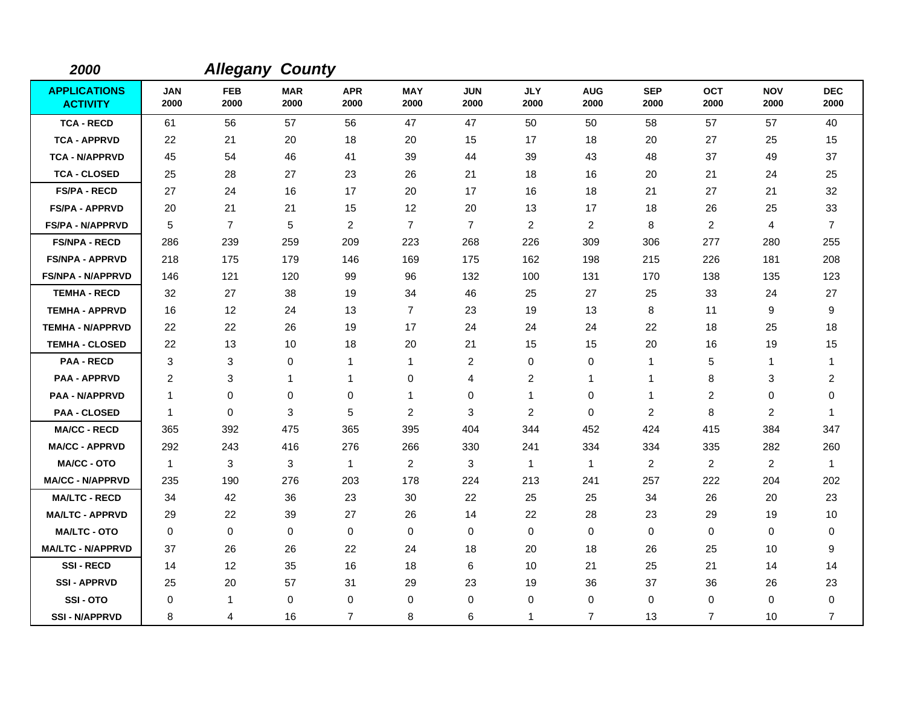| 2000                                   |                    | <b>Allegany</b>    | <b>County</b>      |                    |                    |                    |                         |                    |                    |                    |                    |                    |
|----------------------------------------|--------------------|--------------------|--------------------|--------------------|--------------------|--------------------|-------------------------|--------------------|--------------------|--------------------|--------------------|--------------------|
| <b>APPLICATIONS</b><br><b>ACTIVITY</b> | <b>JAN</b><br>2000 | <b>FEB</b><br>2000 | <b>MAR</b><br>2000 | <b>APR</b><br>2000 | <b>MAY</b><br>2000 | <b>JUN</b><br>2000 | <b>JLY</b><br>2000      | <b>AUG</b><br>2000 | <b>SEP</b><br>2000 | <b>OCT</b><br>2000 | <b>NOV</b><br>2000 | <b>DEC</b><br>2000 |
| <b>TCA - RECD</b>                      | 61                 | 56                 | 57                 | 56                 | 47                 | 47                 | 50                      | 50                 | 58                 | 57                 | 57                 | 40                 |
| <b>TCA - APPRVD</b>                    | 22                 | 21                 | 20                 | 18                 | 20                 | 15                 | 17                      | 18                 | 20                 | 27                 | 25                 | 15                 |
| <b>TCA - N/APPRVD</b>                  | 45                 | 54                 | 46                 | 41                 | 39                 | 44                 | 39                      | 43                 | 48                 | 37                 | 49                 | 37                 |
| <b>TCA - CLOSED</b>                    | 25                 | 28                 | 27                 | 23                 | 26                 | 21                 | 18                      | 16                 | 20                 | 21                 | 24                 | 25                 |
| <b>FS/PA - RECD</b>                    | 27                 | 24                 | 16                 | 17                 | 20                 | 17                 | 16                      | 18                 | 21                 | 27                 | 21                 | 32                 |
| <b>FS/PA - APPRVD</b>                  | 20                 | 21                 | 21                 | 15                 | 12                 | 20                 | 13                      | 17                 | 18                 | 26                 | 25                 | 33                 |
| <b>FS/PA - N/APPRVD</b>                | 5                  | $\overline{7}$     | $\sqrt{5}$         | $\overline{2}$     | $\overline{7}$     | $\overline{7}$     | 2                       | $\overline{c}$     | 8                  | $\overline{c}$     | 4                  | $\overline{7}$     |
| <b>FS/NPA - RECD</b>                   | 286                | 239                | 259                | 209                | 223                | 268                | 226                     | 309                | 306                | 277                | 280                | 255                |
| <b>FS/NPA - APPRVD</b>                 | 218                | 175                | 179                | 146                | 169                | 175                | 162                     | 198                | 215                | 226                | 181                | 208                |
| <b>FS/NPA - N/APPRVD</b>               | 146                | 121                | 120                | 99                 | 96                 | 132                | 100                     | 131                | 170                | 138                | 135                | 123                |
| <b>TEMHA - RECD</b>                    | 32                 | 27                 | 38                 | 19                 | 34                 | 46                 | 25                      | 27                 | 25                 | 33                 | 24                 | 27                 |
| <b>TEMHA - APPRVD</b>                  | 16                 | 12                 | 24                 | 13                 | $\overline{7}$     | 23                 | 19                      | 13                 | 8                  | 11                 | 9                  | 9                  |
| <b>TEMHA - N/APPRVD</b>                | 22                 | 22                 | 26                 | 19                 | 17                 | 24                 | 24                      | 24                 | 22                 | 18                 | 25                 | 18                 |
| <b>TEMHA - CLOSED</b>                  | 22                 | 13                 | 10                 | 18                 | 20                 | 21                 | 15                      | 15                 | 20                 | 16                 | 19                 | 15                 |
| <b>PAA - RECD</b>                      | 3                  | 3                  | $\mathbf 0$        | 1                  | $\mathbf{1}$       | $\overline{c}$     | 0                       | 0                  | $\mathbf{1}$       | 5                  | 1                  | $\overline{1}$     |
| <b>PAA - APPRVD</b>                    | 2                  | 3                  | $\mathbf 1$        | 1                  | 0                  | 4                  | $\overline{\mathbf{c}}$ | 1                  | $\mathbf{1}$       | 8                  | 3                  | $\overline{2}$     |
| <b>PAA - N/APPRVD</b>                  | $\mathbf{1}$       | 0                  | $\mathbf 0$        | 0                  | $\mathbf{1}$       | 0                  | 1                       | 0                  | $\mathbf{1}$       | $\overline{2}$     | 0                  | 0                  |
| <b>PAA - CLOSED</b>                    | -1                 | $\mathbf 0$        | 3                  | 5                  | $\overline{c}$     | 3                  | $\overline{c}$          | 0                  | $\overline{c}$     | 8                  | $\overline{c}$     | -1                 |
| <b>MA/CC - RECD</b>                    | 365                | 392                | 475                | 365                | 395                | 404                | 344                     | 452                | 424                | 415                | 384                | 347                |
| <b>MA/CC - APPRVD</b>                  | 292                | 243                | 416                | 276                | 266                | 330                | 241                     | 334                | 334                | 335                | 282                | 260                |
| <b>MA/CC - OTO</b>                     | $\mathbf{1}$       | 3                  | 3                  | $\overline{1}$     | $\overline{2}$     | 3                  | $\mathbf{1}$            | $\mathbf{1}$       | 2                  | $\overline{2}$     | $\overline{2}$     | $\overline{1}$     |
| <b>MA/CC - N/APPRVD</b>                | 235                | 190                | 276                | 203                | 178                | 224                | 213                     | 241                | 257                | 222                | 204                | 202                |
| <b>MA/LTC - RECD</b>                   | 34                 | 42                 | 36                 | 23                 | 30                 | 22                 | 25                      | 25                 | 34                 | 26                 | 20                 | 23                 |
| <b>MA/LTC - APPRVD</b>                 | 29                 | 22                 | 39                 | 27                 | 26                 | 14                 | 22                      | 28                 | 23                 | 29                 | 19                 | 10                 |
| <b>MA/LTC - OTO</b>                    | 0                  | 0                  | 0                  | 0                  | 0                  | $\mathbf 0$        | 0                       | 0                  | $\mathbf 0$        | 0                  | 0                  | 0                  |
| <b>MA/LTC - N/APPRVD</b>               | 37                 | 26                 | 26                 | 22                 | 24                 | 18                 | 20                      | 18                 | 26                 | 25                 | 10                 | 9                  |
| <b>SSI-RECD</b>                        | 14                 | 12                 | 35                 | 16                 | 18                 | 6                  | 10                      | 21                 | 25                 | 21                 | 14                 | 14                 |
| <b>SSI - APPRVD</b>                    | 25                 | 20                 | 57                 | 31                 | 29                 | 23                 | 19                      | 36                 | 37                 | 36                 | 26                 | 23                 |
| SSI-OTO                                | 0                  | 1                  | $\mathbf 0$        | 0                  | 0                  | 0                  | $\mathbf 0$             | 0                  | 0                  | 0                  | 0                  | 0                  |
| <b>SSI - N/APPRVD</b>                  | 8                  | 4                  | 16                 | $\overline{7}$     | 8                  | 6                  | 1                       | $\overline{7}$     | 13                 | $\overline{7}$     | 10                 | $\overline{7}$     |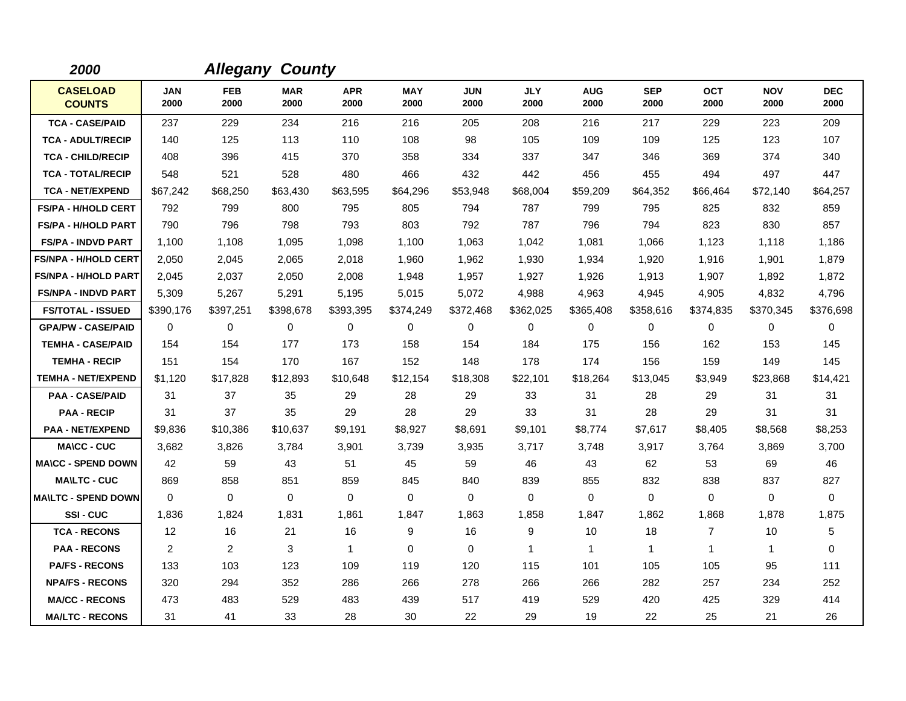| 2000                             |                    |                    | <b>Allegany County</b> |                    |                    |                    |                    |                    |                    |                    |                    |                    |
|----------------------------------|--------------------|--------------------|------------------------|--------------------|--------------------|--------------------|--------------------|--------------------|--------------------|--------------------|--------------------|--------------------|
| <b>CASELOAD</b><br><b>COUNTS</b> | <b>JAN</b><br>2000 | <b>FEB</b><br>2000 | <b>MAR</b><br>2000     | <b>APR</b><br>2000 | <b>MAY</b><br>2000 | <b>JUN</b><br>2000 | <b>JLY</b><br>2000 | <b>AUG</b><br>2000 | <b>SEP</b><br>2000 | <b>OCT</b><br>2000 | <b>NOV</b><br>2000 | <b>DEC</b><br>2000 |
| <b>TCA - CASE/PAID</b>           | 237                | 229                | 234                    | 216                | 216                | 205                | 208                | 216                | 217                | 229                | 223                | 209                |
| <b>TCA - ADULT/RECIP</b>         | 140                | 125                | 113                    | 110                | 108                | 98                 | 105                | 109                | 109                | 125                | 123                | 107                |
| <b>TCA - CHILD/RECIP</b>         | 408                | 396                | 415                    | 370                | 358                | 334                | 337                | 347                | 346                | 369                | 374                | 340                |
| <b>TCA - TOTAL/RECIP</b>         | 548                | 521                | 528                    | 480                | 466                | 432                | 442                | 456                | 455                | 494                | 497                | 447                |
| <b>TCA - NET/EXPEND</b>          | \$67,242           | \$68,250           | \$63,430               | \$63,595           | \$64,296           | \$53,948           | \$68,004           | \$59,209           | \$64,352           | \$66,464           | \$72,140           | \$64,257           |
| <b>FS/PA - H/HOLD CERT</b>       | 792                | 799                | 800                    | 795                | 805                | 794                | 787                | 799                | 795                | 825                | 832                | 859                |
| <b>FS/PA - H/HOLD PART</b>       | 790                | 796                | 798                    | 793                | 803                | 792                | 787                | 796                | 794                | 823                | 830                | 857                |
| <b>FS/PA - INDVD PART</b>        | 1,100              | 1,108              | 1,095                  | 1,098              | 1,100              | 1.063              | 1,042              | 1,081              | 1,066              | 1,123              | 1,118              | 1,186              |
| <b>FS/NPA - H/HOLD CERT</b>      | 2,050              | 2,045              | 2,065                  | 2,018              | 1,960              | 1,962              | 1,930              | 1,934              | 1,920              | 1,916              | 1,901              | 1,879              |
| <b>FS/NPA - H/HOLD PART</b>      | 2,045              | 2,037              | 2,050                  | 2,008              | 1,948              | 1,957              | 1,927              | 1,926              | 1,913              | 1,907              | 1,892              | 1,872              |
| <b>FS/NPA - INDVD PART</b>       | 5,309              | 5,267              | 5,291                  | 5,195              | 5,015              | 5,072              | 4,988              | 4,963              | 4,945              | 4,905              | 4,832              | 4,796              |
| <b>FS/TOTAL - ISSUED</b>         | \$390,176          | \$397,251          | \$398,678              | \$393,395          | \$374,249          | \$372,468          | \$362,025          | \$365,408          | \$358,616          | \$374,835          | \$370,345          | \$376,698          |
| <b>GPA/PW - CASE/PAID</b>        | 0                  | 0                  | 0                      | 0                  | 0                  | 0                  | $\mathbf 0$        | 0                  | 0                  | 0                  | 0                  | 0                  |
| <b>TEMHA - CASE/PAID</b>         | 154                | 154                | 177                    | 173                | 158                | 154                | 184                | 175                | 156                | 162                | 153                | 145                |
| <b>TEMHA - RECIP</b>             | 151                | 154                | 170                    | 167                | 152                | 148                | 178                | 174                | 156                | 159                | 149                | 145                |
| <b>TEMHA - NET/EXPEND</b>        | \$1,120            | \$17,828           | \$12,893               | \$10,648           | \$12,154           | \$18,308           | \$22,101           | \$18,264           | \$13,045           | \$3,949            | \$23,868           | \$14,421           |
| <b>PAA - CASE/PAID</b>           | 31                 | 37                 | 35                     | 29                 | 28                 | 29                 | 33                 | 31                 | 28                 | 29                 | 31                 | 31                 |
| <b>PAA - RECIP</b>               | 31                 | 37                 | 35                     | 29                 | 28                 | 29                 | 33                 | 31                 | 28                 | 29                 | 31                 | 31                 |
| <b>PAA - NET/EXPEND</b>          | \$9,836            | \$10,386           | \$10,637               | \$9,191            | \$8,927            | \$8,691            | \$9,101            | \$8,774            | \$7,617            | \$8,405            | \$8,568            | \$8,253            |
| <b>MA\CC - CUC</b>               | 3,682              | 3,826              | 3,784                  | 3,901              | 3,739              | 3,935              | 3,717              | 3,748              | 3,917              | 3,764              | 3,869              | 3,700              |
| <b>MA\CC - SPEND DOWN</b>        | 42                 | 59                 | 43                     | 51                 | 45                 | 59                 | 46                 | 43                 | 62                 | 53                 | 69                 | 46                 |
| <b>MA\LTC - CUC</b>              | 869                | 858                | 851                    | 859                | 845                | 840                | 839                | 855                | 832                | 838                | 837                | 827                |
| <b>MA\LTC - SPEND DOWN</b>       | 0                  | 0                  | 0                      | 0                  | $\mathbf 0$        | 0                  | $\mathbf 0$        | 0                  | 0                  | 0                  | 0                  | 0                  |
| SSI-CUC                          | 1,836              | 1,824              | 1,831                  | 1,861              | 1,847              | 1.863              | 1,858              | 1,847              | 1,862              | 1,868              | 1,878              | 1,875              |
| <b>TCA - RECONS</b>              | 12                 | 16                 | 21                     | 16                 | 9                  | 16                 | 9                  | 10                 | 18                 | $\overline{7}$     | 10                 | 5                  |
| <b>PAA - RECONS</b>              | 2                  | $\overline{2}$     | 3                      | $\mathbf{1}$       | $\mathbf 0$        | 0                  | $\mathbf{1}$       | $\mathbf{1}$       | $\mathbf{1}$       | $\mathbf 1$        | $\mathbf{1}$       | 0                  |
| <b>PA/FS - RECONS</b>            | 133                | 103                | 123                    | 109                | 119                | 120                | 115                | 101                | 105                | 105                | 95                 | 111                |
| <b>NPA/FS - RECONS</b>           | 320                | 294                | 352                    | 286                | 266                | 278                | 266                | 266                | 282                | 257                | 234                | 252                |
| <b>MA/CC - RECONS</b>            | 473                | 483                | 529                    | 483                | 439                | 517                | 419                | 529                | 420                | 425                | 329                | 414                |
| <b>MA/LTC - RECONS</b>           | 31                 | 41                 | 33                     | 28                 | 30                 | 22                 | 29                 | 19                 | 22                 | 25                 | 21                 | 26                 |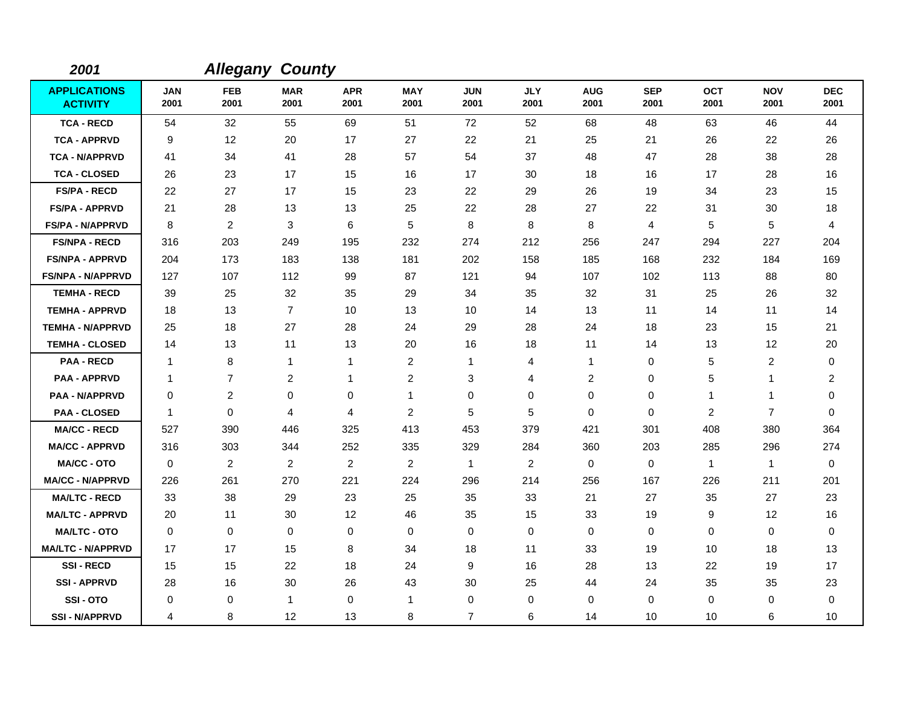| 2001                                   |                    | <b>Allegany County</b> |                    |                    |                    |                    |                    |                         |                    |                    |                    |                    |
|----------------------------------------|--------------------|------------------------|--------------------|--------------------|--------------------|--------------------|--------------------|-------------------------|--------------------|--------------------|--------------------|--------------------|
| <b>APPLICATIONS</b><br><b>ACTIVITY</b> | <b>JAN</b><br>2001 | <b>FEB</b><br>2001     | <b>MAR</b><br>2001 | <b>APR</b><br>2001 | <b>MAY</b><br>2001 | <b>JUN</b><br>2001 | <b>JLY</b><br>2001 | <b>AUG</b><br>2001      | <b>SEP</b><br>2001 | <b>OCT</b><br>2001 | <b>NOV</b><br>2001 | <b>DEC</b><br>2001 |
| <b>TCA - RECD</b>                      | 54                 | 32                     | 55                 | 69                 | 51                 | 72                 | 52                 | 68                      | 48                 | 63                 | 46                 | 44                 |
| <b>TCA - APPRVD</b>                    | 9                  | 12                     | 20                 | 17                 | 27                 | 22                 | 21                 | 25                      | 21                 | 26                 | 22                 | 26                 |
| <b>TCA - N/APPRVD</b>                  | 41                 | 34                     | 41                 | 28                 | 57                 | 54                 | 37                 | 48                      | 47                 | 28                 | 38                 | 28                 |
| <b>TCA - CLOSED</b>                    | 26                 | 23                     | 17                 | 15                 | 16                 | 17                 | 30                 | 18                      | 16                 | 17                 | 28                 | 16                 |
| <b>FS/PA - RECD</b>                    | 22                 | 27                     | 17                 | 15                 | 23                 | 22                 | 29                 | 26                      | 19                 | 34                 | 23                 | 15                 |
| <b>FS/PA - APPRVD</b>                  | 21                 | 28                     | 13                 | 13                 | 25                 | 22                 | 28                 | 27                      | 22                 | 31                 | 30                 | 18                 |
| <b>FS/PA - N/APPRVD</b>                | 8                  | $\overline{2}$         | 3                  | 6                  | 5                  | 8                  | 8                  | 8                       | $\overline{4}$     | 5                  | 5                  | 4                  |
| <b>FS/NPA - RECD</b>                   | 316                | 203                    | 249                | 195                | 232                | 274                | 212                | 256                     | 247                | 294                | 227                | 204                |
| <b>FS/NPA - APPRVD</b>                 | 204                | 173                    | 183                | 138                | 181                | 202                | 158                | 185                     | 168                | 232                | 184                | 169                |
| <b>FS/NPA - N/APPRVD</b>               | 127                | 107                    | 112                | 99                 | 87                 | 121                | 94                 | 107                     | 102                | 113                | 88                 | 80                 |
| <b>TEMHA - RECD</b>                    | 39                 | 25                     | 32                 | 35                 | 29                 | 34                 | 35                 | 32                      | 31                 | 25                 | 26                 | 32                 |
| <b>TEMHA - APPRVD</b>                  | 18                 | 13                     | $\overline{7}$     | 10                 | 13                 | 10                 | 14                 | 13                      | 11                 | 14                 | 11                 | 14                 |
| <b>TEMHA - N/APPRVD</b>                | 25                 | 18                     | 27                 | 28                 | 24                 | 29                 | 28                 | 24                      | 18                 | 23                 | 15                 | 21                 |
| <b>TEMHA - CLOSED</b>                  | 14                 | 13                     | 11                 | 13                 | 20                 | 16                 | 18                 | 11                      | 14                 | 13                 | 12                 | 20                 |
| <b>PAA - RECD</b>                      | $\mathbf{1}$       | 8                      | $\mathbf{1}$       | 1                  | $\overline{2}$     | 1                  | 4                  | $\mathbf{1}$            | $\mathbf 0$        | 5                  | $\overline{c}$     | $\pmb{0}$          |
| <b>PAA - APPRVD</b>                    | $\mathbf{1}$       | $\overline{7}$         | $\overline{c}$     | 1                  | $\overline{c}$     | 3                  | 4                  | $\overline{\mathbf{c}}$ | 0                  | 5                  | 1                  | $\overline{2}$     |
| <b>PAA - N/APPRVD</b>                  | 0                  | 2                      | 0                  | 0                  | $\mathbf{1}$       | $\mathbf 0$        | $\mathbf 0$        | 0                       | 0                  | $\mathbf 1$        | 1                  | 0                  |
| <b>PAA - CLOSED</b>                    | $\mathbf 1$        | $\mathbf 0$            | 4                  | 4                  | $\overline{c}$     | 5                  | 5                  | 0                       | $\mathbf 0$        | 2                  | $\overline{7}$     | 0                  |
| <b>MA/CC - RECD</b>                    | 527                | 390                    | 446                | 325                | 413                | 453                | 379                | 421                     | 301                | 408                | 380                | 364                |
| <b>MA/CC - APPRVD</b>                  | 316                | 303                    | 344                | 252                | 335                | 329                | 284                | 360                     | 203                | 285                | 296                | 274                |
| <b>MA/CC - OTO</b>                     | 0                  | $\overline{2}$         | $\overline{c}$     | $\overline{2}$     | $\overline{2}$     | $\mathbf{1}$       | $\overline{2}$     | 0                       | $\mathbf 0$        | $\overline{1}$     | $\mathbf{1}$       | $\mathbf 0$        |
| <b>MA/CC - N/APPRVD</b>                | 226                | 261                    | 270                | 221                | 224                | 296                | 214                | 256                     | 167                | 226                | 211                | 201                |
| <b>MA/LTC - RECD</b>                   | 33                 | 38                     | 29                 | 23                 | 25                 | 35                 | 33                 | 21                      | 27                 | 35                 | 27                 | 23                 |
| <b>MA/LTC - APPRVD</b>                 | 20                 | 11                     | 30                 | 12                 | 46                 | 35                 | 15                 | 33                      | 19                 | 9                  | 12                 | 16                 |
| <b>MA/LTC - OTO</b>                    | 0                  | 0                      | 0                  | 0                  | 0                  | $\mathbf 0$        | 0                  | 0                       | 0                  | 0                  | $\mathbf 0$        | 0                  |
| <b>MA/LTC - N/APPRVD</b>               | 17                 | 17                     | 15                 | 8                  | 34                 | 18                 | 11                 | 33                      | 19                 | 10                 | 18                 | 13                 |
| <b>SSI-RECD</b>                        | 15                 | 15                     | 22                 | 18                 | 24                 | 9                  | 16                 | 28                      | 13                 | 22                 | 19                 | 17                 |
| <b>SSI - APPRVD</b>                    | 28                 | 16                     | 30                 | 26                 | 43                 | 30                 | 25                 | 44                      | 24                 | 35                 | 35                 | 23                 |
| SSI-OTO                                | 0                  | 0                      | $\overline{1}$     | 0                  | $\mathbf{1}$       | 0                  | $\mathbf 0$        | 0                       | 0                  | 0                  | 0                  | 0                  |
| <b>SSI - N/APPRVD</b>                  | 4                  | 8                      | 12                 | 13                 | 8                  | $\overline{7}$     | 6                  | 14                      | 10                 | 10                 | 6                  | 10                 |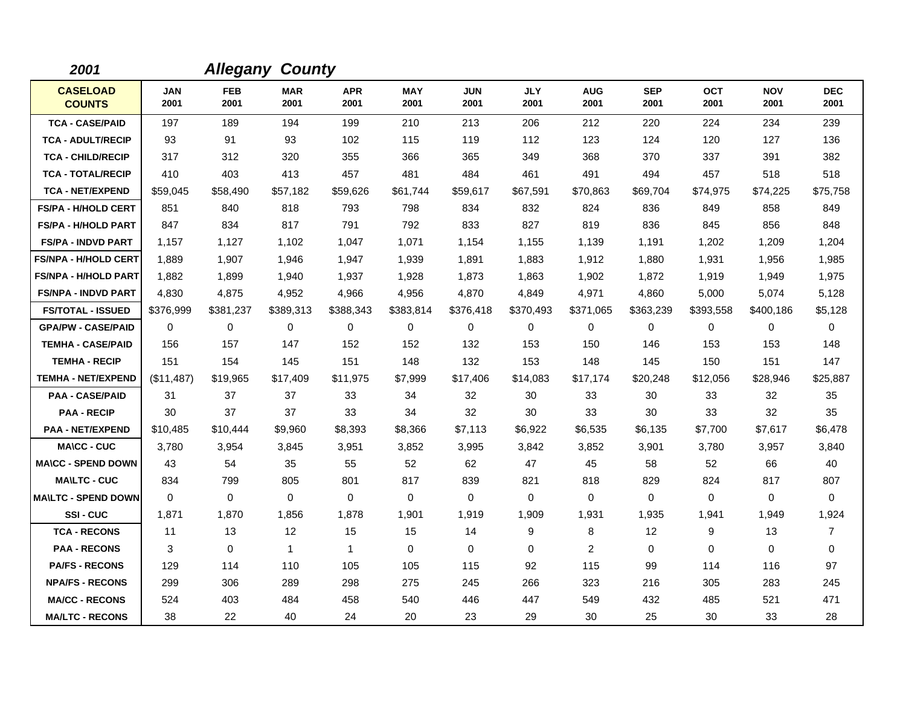| 2001                             |                    |                    | <b>Allegany County</b> |                    |                    |                    |                    |                    |                    |                    |                    |                    |
|----------------------------------|--------------------|--------------------|------------------------|--------------------|--------------------|--------------------|--------------------|--------------------|--------------------|--------------------|--------------------|--------------------|
| <b>CASELOAD</b><br><b>COUNTS</b> | <b>JAN</b><br>2001 | <b>FEB</b><br>2001 | <b>MAR</b><br>2001     | <b>APR</b><br>2001 | <b>MAY</b><br>2001 | <b>JUN</b><br>2001 | <b>JLY</b><br>2001 | <b>AUG</b><br>2001 | <b>SEP</b><br>2001 | <b>OCT</b><br>2001 | <b>NOV</b><br>2001 | <b>DEC</b><br>2001 |
| <b>TCA - CASE/PAID</b>           | 197                | 189                | 194                    | 199                | 210                | 213                | 206                | 212                | 220                | 224                | 234                | 239                |
| <b>TCA - ADULT/RECIP</b>         | 93                 | 91                 | 93                     | 102                | 115                | 119                | 112                | 123                | 124                | 120                | 127                | 136                |
| <b>TCA - CHILD/RECIP</b>         | 317                | 312                | 320                    | 355                | 366                | 365                | 349                | 368                | 370                | 337                | 391                | 382                |
| <b>TCA - TOTAL/RECIP</b>         | 410                | 403                | 413                    | 457                | 481                | 484                | 461                | 491                | 494                | 457                | 518                | 518                |
| <b>TCA - NET/EXPEND</b>          | \$59,045           | \$58,490           | \$57,182               | \$59,626           | \$61,744           | \$59,617           | \$67,591           | \$70,863           | \$69,704           | \$74,975           | \$74,225           | \$75,758           |
| <b>FS/PA - H/HOLD CERT</b>       | 851                | 840                | 818                    | 793                | 798                | 834                | 832                | 824                | 836                | 849                | 858                | 849                |
| <b>FS/PA - H/HOLD PART</b>       | 847                | 834                | 817                    | 791                | 792                | 833                | 827                | 819                | 836                | 845                | 856                | 848                |
| <b>FS/PA - INDVD PART</b>        | 1.157              | 1.127              | 1.102                  | 1,047              | 1,071              | 1,154              | 1,155              | 1,139              | 1,191              | 1,202              | 1,209              | 1,204              |
| <b>FS/NPA - H/HOLD CERT</b>      | 1,889              | 1,907              | 1,946                  | 1,947              | 1,939              | 1,891              | 1,883              | 1,912              | 1,880              | 1,931              | 1,956              | 1,985              |
| <b>FS/NPA - H/HOLD PART</b>      | 1,882              | 1,899              | 1,940                  | 1,937              | 1,928              | 1,873              | 1,863              | 1,902              | 1,872              | 1,919              | 1,949              | 1,975              |
| <b>FS/NPA - INDVD PART</b>       | 4,830              | 4,875              | 4,952                  | 4,966              | 4,956              | 4,870              | 4,849              | 4,971              | 4,860              | 5,000              | 5,074              | 5,128              |
| <b>FS/TOTAL - ISSUED</b>         | \$376,999          | \$381,237          | \$389,313              | \$388,343          | \$383,814          | \$376,418          | \$370,493          | \$371,065          | \$363,239          | \$393,558          | \$400,186          | \$5,128            |
| <b>GPA/PW - CASE/PAID</b>        | 0                  | 0                  | $\mathbf 0$            | 0                  | 0                  | 0                  | 0                  | 0                  | 0                  | 0                  | 0                  | 0                  |
| <b>TEMHA - CASE/PAID</b>         | 156                | 157                | 147                    | 152                | 152                | 132                | 153                | 150                | 146                | 153                | 153                | 148                |
| <b>TEMHA - RECIP</b>             | 151                | 154                | 145                    | 151                | 148                | 132                | 153                | 148                | 145                | 150                | 151                | 147                |
| <b>TEMHA - NET/EXPEND</b>        | (\$11,487)         | \$19,965           | \$17,409               | \$11,975           | \$7,999            | \$17,406           | \$14,083           | \$17,174           | \$20,248           | \$12,056           | \$28,946           | \$25,887           |
| <b>PAA - CASE/PAID</b>           | 31                 | 37                 | 37                     | 33                 | 34                 | 32                 | 30                 | 33                 | 30                 | 33                 | 32                 | 35                 |
| <b>PAA - RECIP</b>               | 30                 | 37                 | 37                     | 33                 | 34                 | 32                 | 30                 | 33                 | 30                 | 33                 | 32                 | 35                 |
| <b>PAA - NET/EXPEND</b>          | \$10,485           | \$10,444           | \$9,960                | \$8,393            | \$8,366            | \$7,113            | \$6,922            | \$6,535            | \$6,135            | \$7,700            | \$7,617            | \$6,478            |
| <b>MA\CC - CUC</b>               | 3,780              | 3,954              | 3,845                  | 3,951              | 3,852              | 3,995              | 3,842              | 3,852              | 3,901              | 3,780              | 3,957              | 3,840              |
| <b>MA\CC - SPEND DOWN</b>        | 43                 | 54                 | 35                     | 55                 | 52                 | 62                 | 47                 | 45                 | 58                 | 52                 | 66                 | 40                 |
| <b>MA\LTC - CUC</b>              | 834                | 799                | 805                    | 801                | 817                | 839                | 821                | 818                | 829                | 824                | 817                | 807                |
| <b>MA\LTC - SPEND DOWN</b>       | $\mathbf 0$        | 0                  | $\mathbf 0$            | 0                  | $\pmb{0}$          | 0                  | 0                  | 0                  | $\mathbf 0$        | 0                  | 0                  | $\mathbf 0$        |
| SSI-CUC                          | 1.871              | 1,870              | 1,856                  | 1.878              | 1,901              | 1,919              | 1,909              | 1,931              | 1,935              | 1,941              | 1,949              | 1,924              |
| <b>TCA - RECONS</b>              | 11                 | 13                 | 12                     | 15                 | 15                 | 14                 | 9                  | 8                  | 12                 | 9                  | 13                 | $\overline{7}$     |
| <b>PAA - RECONS</b>              | 3                  | 0                  | $\mathbf{1}$           | $\mathbf{1}$       | 0                  | $\mathbf 0$        | 0                  | 2                  | $\mathbf 0$        | 0                  | 0                  | $\mathbf 0$        |
| <b>PA/FS - RECONS</b>            | 129                | 114                | 110                    | 105                | 105                | 115                | 92                 | 115                | 99                 | 114                | 116                | 97                 |
| <b>NPA/FS - RECONS</b>           | 299                | 306                | 289                    | 298                | 275                | 245                | 266                | 323                | 216                | 305                | 283                | 245                |
| <b>MA/CC - RECONS</b>            | 524                | 403                | 484                    | 458                | 540                | 446                | 447                | 549                | 432                | 485                | 521                | 471                |
| <b>MA/LTC - RECONS</b>           | 38                 | 22                 | 40                     | 24                 | 20                 | 23                 | 29                 | 30                 | 25                 | 30                 | 33                 | 28                 |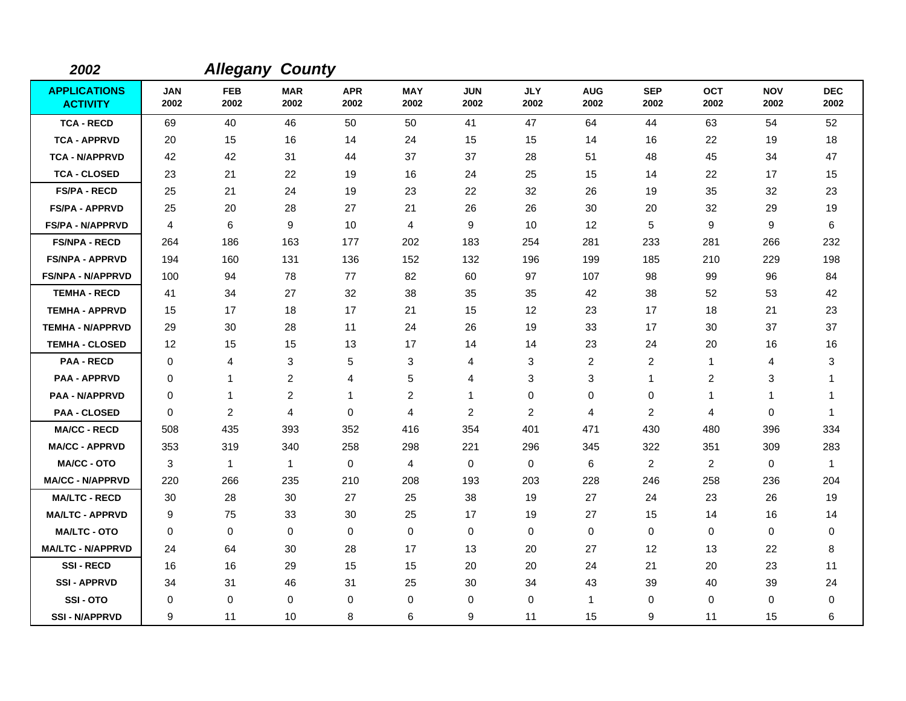| 2002                                   |                    | <b>Allegany County</b> |                    |                    |                    |                    |                    |                         |                    |                    |                    |                    |
|----------------------------------------|--------------------|------------------------|--------------------|--------------------|--------------------|--------------------|--------------------|-------------------------|--------------------|--------------------|--------------------|--------------------|
| <b>APPLICATIONS</b><br><b>ACTIVITY</b> | <b>JAN</b><br>2002 | <b>FEB</b><br>2002     | <b>MAR</b><br>2002 | <b>APR</b><br>2002 | <b>MAY</b><br>2002 | <b>JUN</b><br>2002 | <b>JLY</b><br>2002 | <b>AUG</b><br>2002      | <b>SEP</b><br>2002 | <b>OCT</b><br>2002 | <b>NOV</b><br>2002 | <b>DEC</b><br>2002 |
| <b>TCA - RECD</b>                      | 69                 | 40                     | 46                 | 50                 | 50                 | 41                 | 47                 | 64                      | 44                 | 63                 | 54                 | 52                 |
| <b>TCA - APPRVD</b>                    | 20                 | 15                     | 16                 | 14                 | 24                 | 15                 | 15                 | 14                      | 16                 | 22                 | 19                 | 18                 |
| <b>TCA - N/APPRVD</b>                  | 42                 | 42                     | 31                 | 44                 | 37                 | 37                 | 28                 | 51                      | 48                 | 45                 | 34                 | 47                 |
| <b>TCA - CLOSED</b>                    | 23                 | 21                     | 22                 | 19                 | 16                 | 24                 | 25                 | 15                      | 14                 | 22                 | 17                 | 15                 |
| <b>FS/PA - RECD</b>                    | 25                 | 21                     | 24                 | 19                 | 23                 | 22                 | 32                 | 26                      | 19                 | 35                 | 32                 | 23                 |
| <b>FS/PA - APPRVD</b>                  | 25                 | 20                     | 28                 | 27                 | 21                 | 26                 | 26                 | 30                      | 20                 | 32                 | 29                 | 19                 |
| <b>FS/PA - N/APPRVD</b>                | 4                  | 6                      | 9                  | 10                 | 4                  | 9                  | 10                 | 12                      | 5                  | 9                  | 9                  | 6                  |
| <b>FS/NPA - RECD</b>                   | 264                | 186                    | 163                | 177                | 202                | 183                | 254                | 281                     | 233                | 281                | 266                | 232                |
| <b>FS/NPA - APPRVD</b>                 | 194                | 160                    | 131                | 136                | 152                | 132                | 196                | 199                     | 185                | 210                | 229                | 198                |
| <b>FS/NPA - N/APPRVD</b>               | 100                | 94                     | 78                 | 77                 | 82                 | 60                 | 97                 | 107                     | 98                 | 99                 | 96                 | 84                 |
| <b>TEMHA - RECD</b>                    | 41                 | 34                     | 27                 | 32                 | 38                 | 35                 | 35                 | 42                      | 38                 | 52                 | 53                 | 42                 |
| <b>TEMHA - APPRVD</b>                  | 15                 | 17                     | 18                 | 17                 | 21                 | 15                 | 12                 | 23                      | 17                 | 18                 | 21                 | 23                 |
| <b>TEMHA - N/APPRVD</b>                | 29                 | 30                     | 28                 | 11                 | 24                 | 26                 | 19                 | 33                      | 17                 | 30                 | 37                 | 37                 |
| <b>TEMHA - CLOSED</b>                  | 12                 | 15                     | 15                 | 13                 | 17                 | 14                 | 14                 | 23                      | 24                 | 20                 | 16                 | 16                 |
| <b>PAA - RECD</b>                      | 0                  | 4                      | 3                  | 5                  | 3                  | 4                  | 3                  | $\overline{\mathbf{c}}$ | $\overline{2}$     | $\mathbf{1}$       | 4                  | 3                  |
| <b>PAA - APPRVD</b>                    | 0                  | 1                      | $\overline{c}$     | 4                  | 5                  | 4                  | 3                  | 3                       | $\mathbf{1}$       | $\overline{c}$     | 3                  | -1                 |
| <b>PAA - N/APPRVD</b>                  | 0                  | 1                      | $\overline{c}$     | 1                  | $\overline{c}$     | 1                  | $\pmb{0}$          | 0                       | $\mathbf 0$        | 1                  | 1                  | -1                 |
| <b>PAA - CLOSED</b>                    | $\Omega$           | $\overline{c}$         | 4                  | 0                  | 4                  | $\overline{c}$     | 2                  | 4                       | $\overline{c}$     | 4                  | 0                  | -1                 |
| <b>MA/CC - RECD</b>                    | 508                | 435                    | 393                | 352                | 416                | 354                | 401                | 471                     | 430                | 480                | 396                | 334                |
| <b>MA/CC - APPRVD</b>                  | 353                | 319                    | 340                | 258                | 298                | 221                | 296                | 345                     | 322                | 351                | 309                | 283                |
| <b>MA/CC - OTO</b>                     | 3                  | $\mathbf{1}$           | $\mathbf{1}$       | 0                  | 4                  | $\Omega$           | $\mathbf 0$        | 6                       | 2                  | $\overline{2}$     | $\mathbf 0$        | $\overline{1}$     |
| <b>MA/CC - N/APPRVD</b>                | 220                | 266                    | 235                | 210                | 208                | 193                | 203                | 228                     | 246                | 258                | 236                | 204                |
| <b>MA/LTC - RECD</b>                   | 30                 | 28                     | 30                 | 27                 | 25                 | 38                 | 19                 | 27                      | 24                 | 23                 | 26                 | 19                 |
| <b>MA/LTC - APPRVD</b>                 | 9                  | 75                     | 33                 | 30                 | 25                 | 17                 | 19                 | 27                      | 15                 | 14                 | 16                 | 14                 |
| <b>MA/LTC - OTO</b>                    | 0                  | $\mathbf 0$            | $\mathbf 0$        | 0                  | $\mathbf 0$        | $\mathbf 0$        | 0                  | 0                       | $\mathbf 0$        | 0                  | 0                  | 0                  |
| <b>MA/LTC - N/APPRVD</b>               | 24                 | 64                     | 30                 | 28                 | 17                 | 13                 | 20                 | 27                      | 12                 | 13                 | 22                 | 8                  |
| <b>SSI-RECD</b>                        | 16                 | 16                     | 29                 | 15                 | 15                 | 20                 | 20                 | 24                      | 21                 | 20                 | 23                 | 11                 |
| <b>SSI-APPRVD</b>                      | 34                 | 31                     | 46                 | 31                 | 25                 | 30                 | 34                 | 43                      | 39                 | 40                 | 39                 | 24                 |
| SSI-OTO                                | 0                  | $\mathbf 0$            | $\mathbf 0$        | 0                  | $\mathbf 0$        | 0                  | $\mathbf 0$        | 1                       | $\Omega$           | 0                  | 0                  | 0                  |
| <b>SSI-N/APPRVD</b>                    | 9                  | 11                     | 10                 | 8                  | 6                  | 9                  | 11                 | 15                      | 9                  | 11                 | 15                 | 6                  |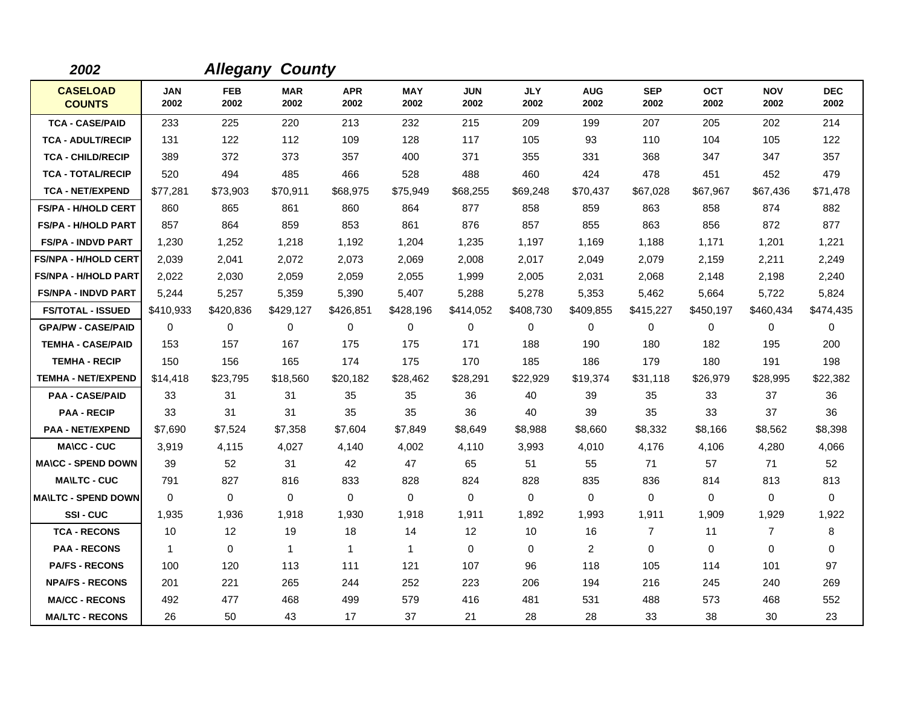| 2002                             |                    |                    | <b>Allegany County</b> |                    |                    |                    |                    |                    |                    |                    |                    |                    |
|----------------------------------|--------------------|--------------------|------------------------|--------------------|--------------------|--------------------|--------------------|--------------------|--------------------|--------------------|--------------------|--------------------|
| <b>CASELOAD</b><br><b>COUNTS</b> | <b>JAN</b><br>2002 | <b>FEB</b><br>2002 | <b>MAR</b><br>2002     | <b>APR</b><br>2002 | <b>MAY</b><br>2002 | <b>JUN</b><br>2002 | <b>JLY</b><br>2002 | <b>AUG</b><br>2002 | <b>SEP</b><br>2002 | <b>OCT</b><br>2002 | <b>NOV</b><br>2002 | <b>DEC</b><br>2002 |
| <b>TCA - CASE/PAID</b>           | 233                | 225                | 220                    | 213                | 232                | 215                | 209                | 199                | 207                | 205                | 202                | 214                |
| <b>TCA - ADULT/RECIP</b>         | 131                | 122                | 112                    | 109                | 128                | 117                | 105                | 93                 | 110                | 104                | 105                | 122                |
| <b>TCA - CHILD/RECIP</b>         | 389                | 372                | 373                    | 357                | 400                | 371                | 355                | 331                | 368                | 347                | 347                | 357                |
| <b>TCA - TOTAL/RECIP</b>         | 520                | 494                | 485                    | 466                | 528                | 488                | 460                | 424                | 478                | 451                | 452                | 479                |
| <b>TCA - NET/EXPEND</b>          | \$77,281           | \$73,903           | \$70,911               | \$68,975           | \$75,949           | \$68,255           | \$69,248           | \$70,437           | \$67,028           | \$67,967           | \$67,436           | \$71,478           |
| <b>FS/PA - H/HOLD CERT</b>       | 860                | 865                | 861                    | 860                | 864                | 877                | 858                | 859                | 863                | 858                | 874                | 882                |
| <b>FS/PA - H/HOLD PART</b>       | 857                | 864                | 859                    | 853                | 861                | 876                | 857                | 855                | 863                | 856                | 872                | 877                |
| <b>FS/PA - INDVD PART</b>        | 1,230              | 1,252              | 1,218                  | 1,192              | 1,204              | 1,235              | 1,197              | 1,169              | 1,188              | 1.171              | 1,201              | 1,221              |
| <b>FS/NPA - H/HOLD CERT</b>      | 2,039              | 2,041              | 2,072                  | 2,073              | 2,069              | 2,008              | 2,017              | 2,049              | 2,079              | 2,159              | 2,211              | 2,249              |
| <b>FS/NPA - H/HOLD PART</b>      | 2,022              | 2,030              | 2,059                  | 2,059              | 2,055              | 1,999              | 2,005              | 2,031              | 2,068              | 2,148              | 2,198              | 2,240              |
| <b>FS/NPA - INDVD PART</b>       | 5,244              | 5,257              | 5,359                  | 5,390              | 5,407              | 5,288              | 5,278              | 5,353              | 5,462              | 5,664              | 5,722              | 5,824              |
| <b>FS/TOTAL - ISSUED</b>         | \$410,933          | \$420,836          | \$429,127              | \$426,851          | \$428,196          | \$414,052          | \$408,730          | \$409,855          | \$415,227          | \$450,197          | \$460,434          | \$474,435          |
| <b>GPA/PW - CASE/PAID</b>        | 0                  | 0                  | $\mathbf 0$            | 0                  | $\mathbf 0$        | 0                  | $\mathbf 0$        | 0                  | 0                  | 0                  | 0                  | 0                  |
| <b>TEMHA - CASE/PAID</b>         | 153                | 157                | 167                    | 175                | 175                | 171                | 188                | 190                | 180                | 182                | 195                | 200                |
| <b>TEMHA - RECIP</b>             | 150                | 156                | 165                    | 174                | 175                | 170                | 185                | 186                | 179                | 180                | 191                | 198                |
| <b>TEMHA - NET/EXPEND</b>        | \$14,418           | \$23,795           | \$18,560               | \$20,182           | \$28,462           | \$28,291           | \$22,929           | \$19,374           | \$31,118           | \$26,979           | \$28,995           | \$22,382           |
| <b>PAA - CASE/PAID</b>           | 33                 | 31                 | 31                     | 35                 | 35                 | 36                 | 40                 | 39                 | 35                 | 33                 | 37                 | 36                 |
| <b>PAA - RECIP</b>               | 33                 | 31                 | 31                     | 35                 | 35                 | 36                 | 40                 | 39                 | 35                 | 33                 | 37                 | 36                 |
| <b>PAA - NET/EXPEND</b>          | \$7,690            | \$7,524            | \$7,358                | \$7,604            | \$7,849            | \$8,649            | \$8,988            | \$8,660            | \$8,332            | \$8,166            | \$8,562            | \$8,398            |
| <b>MA\CC - CUC</b>               | 3,919              | 4,115              | 4,027                  | 4,140              | 4,002              | 4,110              | 3,993              | 4,010              | 4,176              | 4,106              | 4,280              | 4,066              |
| <b>MA\CC - SPEND DOWN</b>        | 39                 | 52                 | 31                     | 42                 | 47                 | 65                 | 51                 | 55                 | 71                 | 57                 | 71                 | 52                 |
| <b>MA\LTC - CUC</b>              | 791                | 827                | 816                    | 833                | 828                | 824                | 828                | 835                | 836                | 814                | 813                | 813                |
| <b>MA\LTC - SPEND DOWN</b>       | $\mathbf 0$        | 0                  | 0                      | $\mathbf 0$        | 0                  | 0                  | $\mathbf 0$        | 0                  | 0                  | 0                  | 0                  | 0                  |
| SSI-CUC                          | 1,935              | 1,936              | 1,918                  | 1,930              | 1,918              | 1,911              | 1,892              | 1,993              | 1,911              | 1,909              | 1,929              | 1,922              |
| <b>TCA - RECONS</b>              | 10                 | 12                 | 19                     | 18                 | 14                 | 12                 | 10                 | 16                 | $\overline{7}$     | 11                 | $\overline{7}$     | 8                  |
| <b>PAA - RECONS</b>              | $\mathbf{1}$       | 0                  | $\mathbf{1}$           | $\mathbf{1}$       | $\mathbf{1}$       | $\mathbf 0$        | $\mathbf 0$        | $\overline{2}$     | 0                  | 0                  | 0                  | 0                  |
| <b>PA/FS - RECONS</b>            | 100                | 120                | 113                    | 111                | 121                | 107                | 96                 | 118                | 105                | 114                | 101                | 97                 |
| <b>NPA/FS - RECONS</b>           | 201                | 221                | 265                    | 244                | 252                | 223                | 206                | 194                | 216                | 245                | 240                | 269                |
| <b>MA/CC - RECONS</b>            | 492                | 477                | 468                    | 499                | 579                | 416                | 481                | 531                | 488                | 573                | 468                | 552                |
| <b>MA/LTC - RECONS</b>           | 26                 | 50                 | 43                     | 17                 | 37                 | 21                 | 28                 | 28                 | 33                 | 38                 | 30                 | 23                 |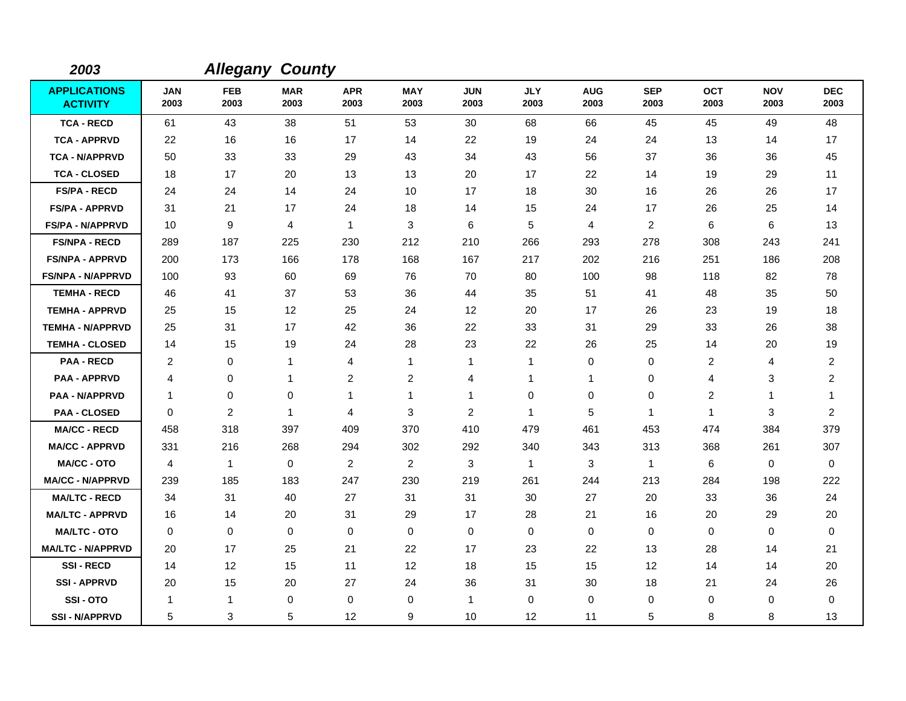| 2003                                   |                    | <b>Allegany County</b> |                    |                    |                    |                    |                    |                    |                    |                    |                    |                    |
|----------------------------------------|--------------------|------------------------|--------------------|--------------------|--------------------|--------------------|--------------------|--------------------|--------------------|--------------------|--------------------|--------------------|
| <b>APPLICATIONS</b><br><b>ACTIVITY</b> | <b>JAN</b><br>2003 | <b>FEB</b><br>2003     | <b>MAR</b><br>2003 | <b>APR</b><br>2003 | <b>MAY</b><br>2003 | <b>JUN</b><br>2003 | <b>JLY</b><br>2003 | <b>AUG</b><br>2003 | <b>SEP</b><br>2003 | <b>OCT</b><br>2003 | <b>NOV</b><br>2003 | <b>DEC</b><br>2003 |
| <b>TCA - RECD</b>                      | 61                 | 43                     | 38                 | 51                 | 53                 | 30                 | 68                 | 66                 | 45                 | 45                 | 49                 | 48                 |
| <b>TCA - APPRVD</b>                    | 22                 | 16                     | 16                 | 17                 | 14                 | 22                 | 19                 | 24                 | 24                 | 13                 | 14                 | 17                 |
| <b>TCA - N/APPRVD</b>                  | 50                 | 33                     | 33                 | 29                 | 43                 | 34                 | 43                 | 56                 | 37                 | 36                 | 36                 | 45                 |
| <b>TCA - CLOSED</b>                    | 18                 | 17                     | 20                 | 13                 | 13                 | 20                 | 17                 | 22                 | 14                 | 19                 | 29                 | 11                 |
| <b>FS/PA - RECD</b>                    | 24                 | 24                     | 14                 | 24                 | 10                 | 17                 | 18                 | 30                 | 16                 | 26                 | 26                 | 17                 |
| <b>FS/PA - APPRVD</b>                  | 31                 | 21                     | 17                 | 24                 | 18                 | 14                 | 15                 | 24                 | 17                 | 26                 | 25                 | 14                 |
| <b>FS/PA - N/APPRVD</b>                | 10                 | 9                      | 4                  | $\mathbf{1}$       | 3                  | 6                  | 5                  | 4                  | 2                  | 6                  | 6                  | 13                 |
| <b>FS/NPA - RECD</b>                   | 289                | 187                    | 225                | 230                | 212                | 210                | 266                | 293                | 278                | 308                | 243                | 241                |
| <b>FS/NPA - APPRVD</b>                 | 200                | 173                    | 166                | 178                | 168                | 167                | 217                | 202                | 216                | 251                | 186                | 208                |
| <b>FS/NPA - N/APPRVD</b>               | 100                | 93                     | 60                 | 69                 | 76                 | 70                 | 80                 | 100                | 98                 | 118                | 82                 | 78                 |
| <b>TEMHA - RECD</b>                    | 46                 | 41                     | 37                 | 53                 | 36                 | 44                 | 35                 | 51                 | 41                 | 48                 | 35                 | 50                 |
| <b>TEMHA - APPRVD</b>                  | 25                 | 15                     | 12                 | 25                 | 24                 | 12                 | 20                 | 17                 | 26                 | 23                 | 19                 | 18                 |
| <b>TEMHA - N/APPRVD</b>                | 25                 | 31                     | 17                 | 42                 | 36                 | 22                 | 33                 | 31                 | 29                 | 33                 | 26                 | 38                 |
| <b>TEMHA - CLOSED</b>                  | 14                 | 15                     | 19                 | 24                 | 28                 | 23                 | 22                 | 26                 | 25                 | 14                 | 20                 | 19                 |
| <b>PAA - RECD</b>                      | 2                  | 0                      | $\mathbf{1}$       | 4                  | $\mathbf{1}$       | 1                  | $\mathbf{1}$       | 0                  | 0                  | 2                  | 4                  | $\overline{c}$     |
| <b>PAA - APPRVD</b>                    | 4                  | 0                      | $\mathbf 1$        | $\overline{c}$     | $\overline{c}$     | 4                  | 1                  | 1                  | $\mathbf 0$        | 4                  | 3                  | $\overline{c}$     |
| <b>PAA - N/APPRVD</b>                  | $\mathbf{1}$       | 0                      | $\mathbf 0$        | $\mathbf{1}$       | $\mathbf{1}$       | 1                  | $\pmb{0}$          | 0                  | $\mathbf 0$        | $\overline{c}$     | 1                  | $\mathbf 1$        |
| <b>PAA - CLOSED</b>                    | $\Omega$           | $\overline{c}$         | $\overline{1}$     | 4                  | 3                  | $\overline{c}$     | 1                  | 5                  | $\mathbf 1$        | $\mathbf{1}$       | 3                  | $\overline{2}$     |
| <b>MA/CC - RECD</b>                    | 458                | 318                    | 397                | 409                | 370                | 410                | 479                | 461                | 453                | 474                | 384                | 379                |
| <b>MA/CC - APPRVD</b>                  | 331                | 216                    | 268                | 294                | 302                | 292                | 340                | 343                | 313                | 368                | 261                | 307                |
| <b>MA/CC - OTO</b>                     | 4                  | $\mathbf{1}$           | $\mathbf 0$        | $\overline{c}$     | 2                  | 3                  | $\mathbf{1}$       | 3                  | $\mathbf{1}$       | 6                  | $\mathbf 0$        | $\Omega$           |
| <b>MA/CC - N/APPRVD</b>                | 239                | 185                    | 183                | 247                | 230                | 219                | 261                | 244                | 213                | 284                | 198                | 222                |
| <b>MA/LTC - RECD</b>                   | 34                 | 31                     | 40                 | 27                 | 31                 | 31                 | 30                 | 27                 | 20                 | 33                 | 36                 | 24                 |
| <b>MA/LTC - APPRVD</b>                 | 16                 | 14                     | 20                 | 31                 | 29                 | 17                 | 28                 | 21                 | 16                 | 20                 | 29                 | 20                 |
| <b>MA/LTC - OTO</b>                    | 0                  | 0                      | $\mathbf 0$        | 0                  | 0                  | $\mathbf 0$        | 0                  | 0                  | $\mathbf 0$        | 0                  | 0                  | 0                  |
| <b>MA/LTC - N/APPRVD</b>               | 20                 | 17                     | 25                 | 21                 | 22                 | 17                 | 23                 | 22                 | 13                 | 28                 | 14                 | 21                 |
| <b>SSI-RECD</b>                        | 14                 | 12                     | 15                 | 11                 | 12                 | 18                 | 15                 | 15                 | 12                 | 14                 | 14                 | 20                 |
| <b>SSI-APPRVD</b>                      | 20                 | 15                     | 20                 | 27                 | 24                 | 36                 | 31                 | 30                 | 18                 | 21                 | 24                 | 26                 |
| SSI-OTO                                | -1                 | $\mathbf{1}$           | $\mathbf 0$        | 0                  | $\mathbf 0$        | 1                  | $\mathbf 0$        | 0                  | $\mathbf 0$        | 0                  | $\mathbf 0$        | 0                  |
| <b>SSI - N/APPRVD</b>                  | 5                  | 3                      | 5                  | 12                 | 9                  | 10                 | $12 \overline{ }$  | 11                 | 5                  | 8                  | 8                  | 13                 |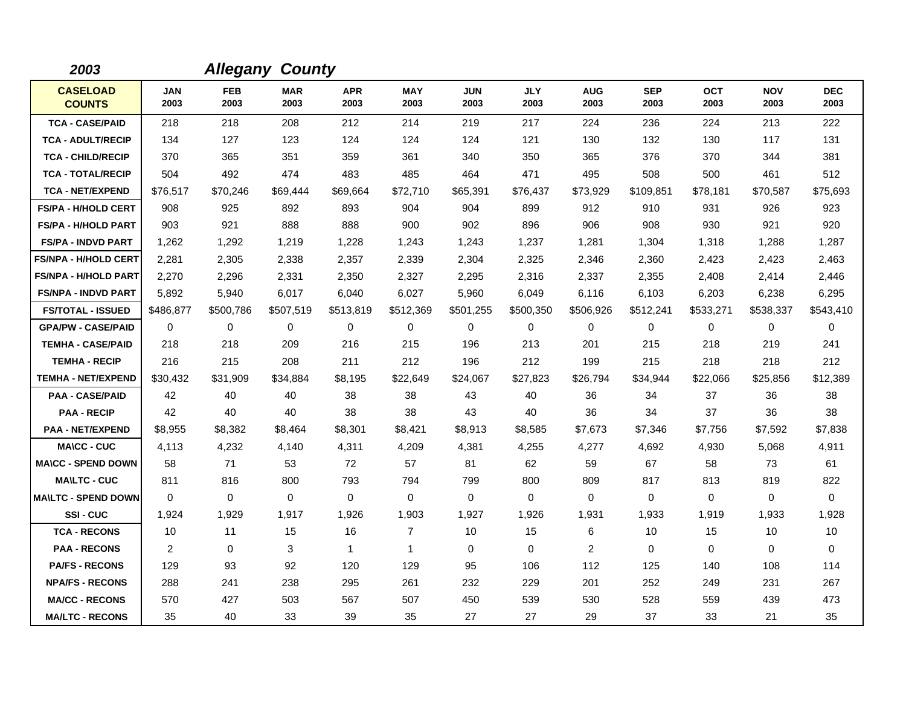| 2003                             |                    |                    | <b>Allegany County</b> |                    |                    |                    |                    |                    |                    |                    |                    |                    |
|----------------------------------|--------------------|--------------------|------------------------|--------------------|--------------------|--------------------|--------------------|--------------------|--------------------|--------------------|--------------------|--------------------|
| <b>CASELOAD</b><br><b>COUNTS</b> | <b>JAN</b><br>2003 | <b>FEB</b><br>2003 | <b>MAR</b><br>2003     | <b>APR</b><br>2003 | <b>MAY</b><br>2003 | <b>JUN</b><br>2003 | <b>JLY</b><br>2003 | <b>AUG</b><br>2003 | <b>SEP</b><br>2003 | <b>OCT</b><br>2003 | <b>NOV</b><br>2003 | <b>DEC</b><br>2003 |
| <b>TCA - CASE/PAID</b>           | 218                | 218                | 208                    | 212                | 214                | 219                | 217                | 224                | 236                | 224                | 213                | 222                |
| <b>TCA - ADULT/RECIP</b>         | 134                | 127                | 123                    | 124                | 124                | 124                | 121                | 130                | 132                | 130                | 117                | 131                |
| <b>TCA - CHILD/RECIP</b>         | 370                | 365                | 351                    | 359                | 361                | 340                | 350                | 365                | 376                | 370                | 344                | 381                |
| <b>TCA - TOTAL/RECIP</b>         | 504                | 492                | 474                    | 483                | 485                | 464                | 471                | 495                | 508                | 500                | 461                | 512                |
| <b>TCA - NET/EXPEND</b>          | \$76,517           | \$70,246           | \$69,444               | \$69,664           | \$72,710           | \$65,391           | \$76,437           | \$73,929           | \$109,851          | \$78,181           | \$70,587           | \$75,693           |
| <b>FS/PA - H/HOLD CERT</b>       | 908                | 925                | 892                    | 893                | 904                | 904                | 899                | 912                | 910                | 931                | 926                | 923                |
| <b>FS/PA - H/HOLD PART</b>       | 903                | 921                | 888                    | 888                | 900                | 902                | 896                | 906                | 908                | 930                | 921                | 920                |
| <b>FS/PA - INDVD PART</b>        | 1,262              | 1,292              | 1,219                  | 1,228              | 1,243              | 1,243              | 1,237              | 1,281              | 1,304              | 1,318              | 1,288              | 1,287              |
| <b>FS/NPA - H/HOLD CERT</b>      | 2,281              | 2,305              | 2,338                  | 2,357              | 2,339              | 2,304              | 2,325              | 2,346              | 2,360              | 2,423              | 2,423              | 2,463              |
| <b>FS/NPA - H/HOLD PART</b>      | 2,270              | 2,296              | 2,331                  | 2,350              | 2,327              | 2,295              | 2,316              | 2,337              | 2,355              | 2,408              | 2,414              | 2,446              |
| <b>FS/NPA - INDVD PART</b>       | 5,892              | 5.940              | 6.017                  | 6,040              | 6,027              | 5,960              | 6,049              | 6,116              | 6,103              | 6,203              | 6,238              | 6,295              |
| <b>FS/TOTAL - ISSUED</b>         | \$486,877          | \$500,786          | \$507,519              | \$513,819          | \$512,369          | \$501,255          | \$500,350          | \$506,926          | \$512,241          | \$533,271          | \$538,337          | \$543,410          |
| <b>GPA/PW - CASE/PAID</b>        | 0                  | 0                  | 0                      | 0                  | $\mathbf 0$        | 0                  | $\mathbf 0$        | 0                  | 0                  | 0                  | 0                  | 0                  |
| <b>TEMHA - CASE/PAID</b>         | 218                | 218                | 209                    | 216                | 215                | 196                | 213                | 201                | 215                | 218                | 219                | 241                |
| <b>TEMHA - RECIP</b>             | 216                | 215                | 208                    | 211                | 212                | 196                | 212                | 199                | 215                | 218                | 218                | 212                |
| <b>TEMHA - NET/EXPEND</b>        | \$30,432           | \$31,909           | \$34,884               | \$8,195            | \$22,649           | \$24,067           | \$27,823           | \$26,794           | \$34,944           | \$22,066           | \$25,856           | \$12,389           |
| <b>PAA - CASE/PAID</b>           | 42                 | 40                 | 40                     | 38                 | 38                 | 43                 | 40                 | 36                 | 34                 | 37                 | 36                 | 38                 |
| <b>PAA - RECIP</b>               | 42                 | 40                 | 40                     | 38                 | 38                 | 43                 | 40                 | 36                 | 34                 | 37                 | 36                 | 38                 |
| <b>PAA - NET/EXPEND</b>          | \$8,955            | \$8,382            | \$8,464                | \$8,301            | \$8,421            | \$8,913            | \$8,585            | \$7,673            | \$7,346            | \$7,756            | \$7,592            | \$7,838            |
| <b>MA\CC - CUC</b>               | 4,113              | 4,232              | 4,140                  | 4,311              | 4,209              | 4,381              | 4,255              | 4,277              | 4,692              | 4,930              | 5,068              | 4,911              |
| <b>MA\CC - SPEND DOWN</b>        | 58                 | 71                 | 53                     | 72                 | 57                 | 81                 | 62                 | 59                 | 67                 | 58                 | 73                 | 61                 |
| <b>MA\LTC - CUC</b>              | 811                | 816                | 800                    | 793                | 794                | 799                | 800                | 809                | 817                | 813                | 819                | 822                |
| <b>MA\LTC - SPEND DOWN</b>       | $\mathbf 0$        | 0                  | 0                      | $\mathbf 0$        | 0                  | 0                  | $\mathbf 0$        | 0                  | $\mathbf 0$        | 0                  | 0                  | $\mathbf 0$        |
| SSI-CUC                          | 1,924              | 1,929              | 1,917                  | 1,926              | 1,903              | 1,927              | 1,926              | 1,931              | 1,933              | 1,919              | 1,933              | 1,928              |
| <b>TCA - RECONS</b>              | 10                 | 11                 | 15                     | 16                 | $\overline{7}$     | 10                 | 15                 | 6                  | 10                 | 15                 | 10                 | 10                 |
| <b>PAA - RECONS</b>              | $\overline{c}$     | 0                  | 3                      | $\mathbf 1$        | $\mathbf{1}$       | 0                  | $\mathbf 0$        | $\overline{2}$     | $\mathbf 0$        | 0                  | 0                  | $\mathbf 0$        |
| <b>PA/FS - RECONS</b>            | 129                | 93                 | 92                     | 120                | 129                | 95                 | 106                | 112                | 125                | 140                | 108                | 114                |
| <b>NPA/FS - RECONS</b>           | 288                | 241                | 238                    | 295                | 261                | 232                | 229                | 201                | 252                | 249                | 231                | 267                |
| <b>MA/CC - RECONS</b>            | 570                | 427                | 503                    | 567                | 507                | 450                | 539                | 530                | 528                | 559                | 439                | 473                |
| <b>MA/LTC - RECONS</b>           | 35                 | 40                 | 33                     | 39                 | 35                 | 27                 | 27                 | 29                 | 37                 | 33                 | 21                 | 35                 |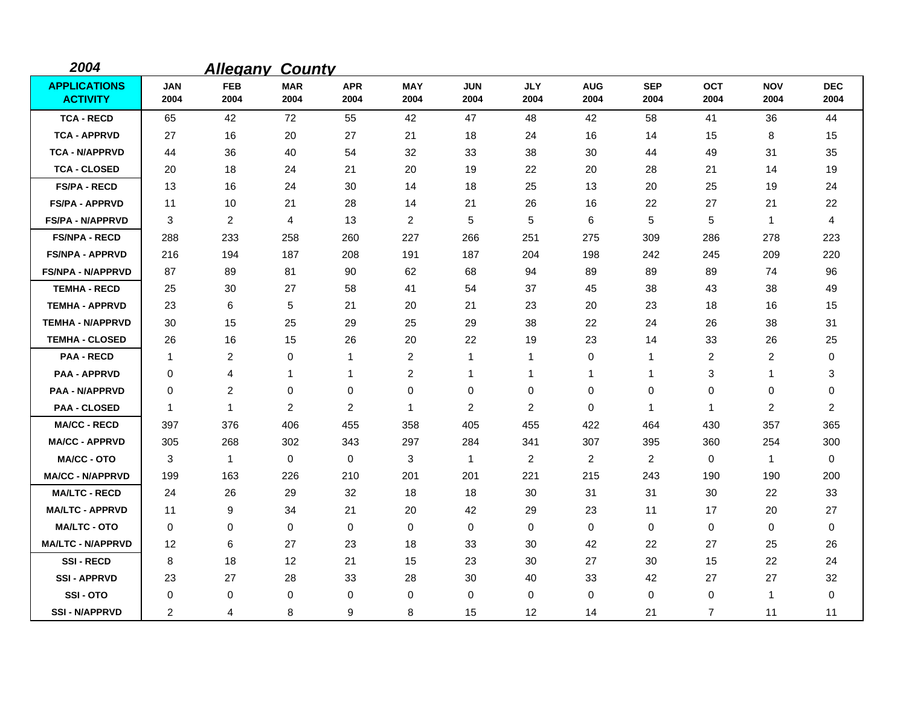| 2004                                   |                    | <b>Allegany</b>    | <b>County</b>      |                         |                    |                    |                    |                    |                    |                    |                    |                    |
|----------------------------------------|--------------------|--------------------|--------------------|-------------------------|--------------------|--------------------|--------------------|--------------------|--------------------|--------------------|--------------------|--------------------|
| <b>APPLICATIONS</b><br><b>ACTIVITY</b> | <b>JAN</b><br>2004 | <b>FEB</b><br>2004 | <b>MAR</b><br>2004 | <b>APR</b><br>2004      | <b>MAY</b><br>2004 | <b>JUN</b><br>2004 | <b>JLY</b><br>2004 | <b>AUG</b><br>2004 | <b>SEP</b><br>2004 | <b>OCT</b><br>2004 | <b>NOV</b><br>2004 | <b>DEC</b><br>2004 |
| <b>TCA - RECD</b>                      | 65                 | 42                 | 72                 | 55                      | 42                 | 47                 | 48                 | 42                 | 58                 | 41                 | 36                 | 44                 |
| <b>TCA - APPRVD</b>                    | 27                 | 16                 | 20                 | 27                      | 21                 | 18                 | 24                 | 16                 | 14                 | 15                 | 8                  | 15                 |
| <b>TCA - N/APPRVD</b>                  | 44                 | 36                 | 40                 | 54                      | 32                 | 33                 | 38                 | 30                 | 44                 | 49                 | 31                 | 35                 |
| <b>TCA - CLOSED</b>                    | 20                 | 18                 | 24                 | 21                      | 20                 | 19                 | 22                 | 20                 | 28                 | 21                 | 14                 | 19                 |
| <b>FS/PA - RECD</b>                    | 13                 | 16                 | 24                 | 30                      | 14                 | 18                 | 25                 | 13                 | 20                 | 25                 | 19                 | 24                 |
| <b>FS/PA - APPRVD</b>                  | 11                 | 10                 | 21                 | 28                      | 14                 | 21                 | 26                 | 16                 | 22                 | 27                 | 21                 | 22                 |
| <b>FS/PA - N/APPRVD</b>                | 3                  | $\overline{c}$     | $\overline{4}$     | 13                      | $\overline{2}$     | 5                  | 5                  | 6                  | 5                  | 5                  | $\mathbf{1}$       | 4                  |
| <b>FS/NPA - RECD</b>                   | 288                | 233                | 258                | 260                     | 227                | 266                | 251                | 275                | 309                | 286                | 278                | 223                |
| <b>FS/NPA - APPRVD</b>                 | 216                | 194                | 187                | 208                     | 191                | 187                | 204                | 198                | 242                | 245                | 209                | 220                |
| <b>FS/NPA - N/APPRVD</b>               | 87                 | 89                 | 81                 | 90                      | 62                 | 68                 | 94                 | 89                 | 89                 | 89                 | 74                 | 96                 |
| <b>TEMHA - RECD</b>                    | 25                 | 30                 | 27                 | 58                      | 41                 | 54                 | 37                 | 45                 | 38                 | 43                 | 38                 | 49                 |
| <b>TEMHA - APPRVD</b>                  | 23                 | 6                  | 5                  | 21                      | 20                 | 21                 | 23                 | 20                 | 23                 | 18                 | 16                 | 15                 |
| <b>TEMHA - N/APPRVD</b>                | 30                 | 15                 | 25                 | 29                      | 25                 | 29                 | 38                 | 22                 | 24                 | 26                 | 38                 | 31                 |
| <b>TEMHA - CLOSED</b>                  | 26                 | 16                 | 15                 | 26                      | 20                 | 22                 | 19                 | 23                 | 14                 | 33                 | 26                 | 25                 |
| <b>PAA - RECD</b>                      | $\mathbf{1}$       | $\overline{c}$     | $\mathbf 0$        | 1                       | $\overline{c}$     | 1                  | $\mathbf{1}$       | 0                  | $\mathbf 1$        | 2                  | 2                  | 0                  |
| <b>PAA - APPRVD</b>                    | 0                  | 4                  | 1                  | 1                       | $\overline{2}$     | 1                  | -1                 | 1                  | 1                  | 3                  | 1                  | 3                  |
| <b>PAA - N/APPRVD</b>                  | 0                  | 2                  | 0                  | 0                       | 0                  | 0                  | 0                  | 0                  | 0                  | 0                  | 0                  | 0                  |
| <b>PAA - CLOSED</b>                    | $\mathbf 1$        | $\mathbf{1}$       | 2                  | $\overline{\mathbf{c}}$ | $\mathbf{1}$       | $\overline{2}$     | 2                  | 0                  | 1                  | $\mathbf{1}$       | 2                  | $\overline{2}$     |
| <b>MA/CC - RECD</b>                    | 397                | 376                | 406                | 455                     | 358                | 405                | 455                | 422                | 464                | 430                | 357                | 365                |
| <b>MA/CC - APPRVD</b>                  | 305                | 268                | 302                | 343                     | 297                | 284                | 341                | 307                | 395                | 360                | 254                | 300                |
| <b>MA/CC - OTO</b>                     | 3                  | 1                  | $\mathbf 0$        | 0                       | 3                  | $\mathbf{1}$       | $\overline{2}$     | $\overline{2}$     | 2                  | $\mathbf 0$        | $\mathbf{1}$       | 0                  |
| <b>MA/CC - N/APPRVD</b>                | 199                | 163                | 226                | 210                     | 201                | 201                | 221                | 215                | 243                | 190                | 190                | 200                |
| <b>MA/LTC - RECD</b>                   | 24                 | 26                 | 29                 | 32                      | 18                 | 18                 | 30                 | 31                 | 31                 | 30                 | 22                 | 33                 |
| <b>MA/LTC - APPRVD</b>                 | 11                 | 9                  | 34                 | 21                      | 20                 | 42                 | 29                 | 23                 | 11                 | 17                 | 20                 | 27                 |
| <b>MA/LTC - OTO</b>                    | 0                  | 0                  | 0                  | 0                       | 0                  | 0                  | 0                  | 0                  | $\mathbf 0$        | $\mathbf 0$        | 0                  | 0                  |
| <b>MA/LTC - N/APPRVD</b>               | 12                 | 6                  | 27                 | 23                      | 18                 | 33                 | 30                 | 42                 | 22                 | 27                 | 25                 | 26                 |
| <b>SSI-RECD</b>                        | 8                  | 18                 | 12                 | 21                      | 15                 | 23                 | 30                 | 27                 | 30                 | 15                 | 22                 | 24                 |
| <b>SSI-APPRVD</b>                      | 23                 | 27                 | 28                 | 33                      | 28                 | 30                 | 40                 | 33                 | 42                 | 27                 | 27                 | 32                 |
| SSI-OTO                                | 0                  | 0                  | $\mathbf 0$        | 0                       | 0                  | 0                  | 0                  | 0                  | $\Omega$           | 0                  | $\mathbf{1}$       | 0                  |
| <b>SSI-N/APPRVD</b>                    | 2                  | 4                  | 8                  | 9                       | 8                  | 15                 | $12 \overline{ }$  | 14                 | 21                 | $\overline{7}$     | 11                 | 11                 |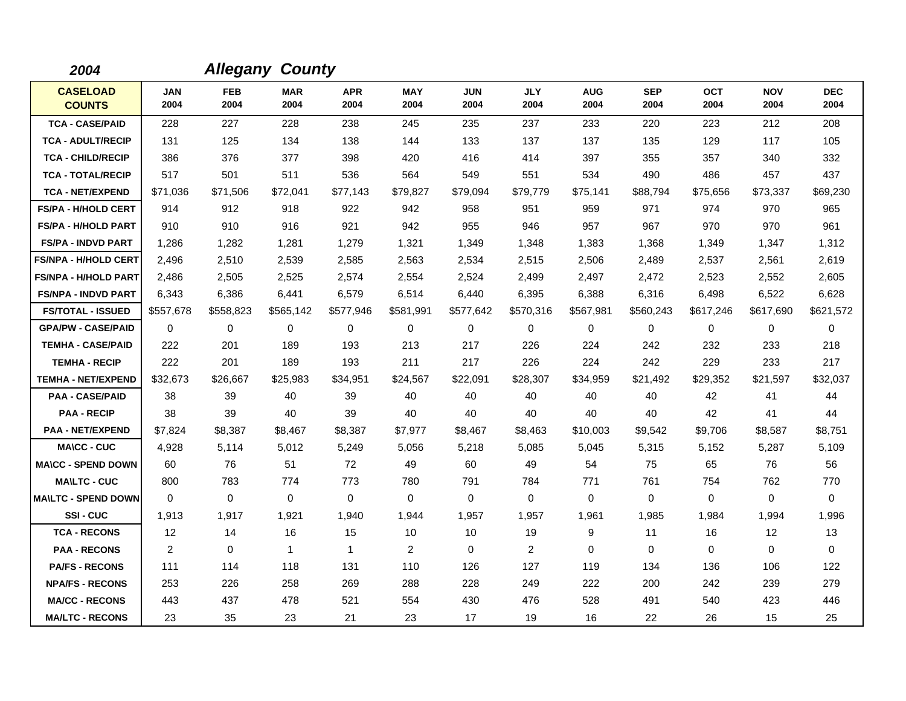| 2004                             |                    |             | <b>Allegany County</b> |                    |                    |                    |                    |                    |                    |                    |                    |                    |
|----------------------------------|--------------------|-------------|------------------------|--------------------|--------------------|--------------------|--------------------|--------------------|--------------------|--------------------|--------------------|--------------------|
| <b>CASELOAD</b><br><b>COUNTS</b> | <b>JAN</b><br>2004 | FEB<br>2004 | <b>MAR</b><br>2004     | <b>APR</b><br>2004 | <b>MAY</b><br>2004 | <b>JUN</b><br>2004 | <b>JLY</b><br>2004 | <b>AUG</b><br>2004 | <b>SEP</b><br>2004 | <b>OCT</b><br>2004 | <b>NOV</b><br>2004 | <b>DEC</b><br>2004 |
| <b>TCA - CASE/PAID</b>           | 228                | 227         | 228                    | 238                | 245                | 235                | 237                | 233                | 220                | 223                | 212                | 208                |
| <b>TCA - ADULT/RECIP</b>         | 131                | 125         | 134                    | 138                | 144                | 133                | 137                | 137                | 135                | 129                | 117                | 105                |
| <b>TCA - CHILD/RECIP</b>         | 386                | 376         | 377                    | 398                | 420                | 416                | 414                | 397                | 355                | 357                | 340                | 332                |
| <b>TCA - TOTAL/RECIP</b>         | 517                | 501         | 511                    | 536                | 564                | 549                | 551                | 534                | 490                | 486                | 457                | 437                |
| <b>TCA - NET/EXPEND</b>          | \$71,036           | \$71,506    | \$72,041               | \$77,143           | \$79,827           | \$79,094           | \$79.779           | \$75,141           | \$88,794           | \$75,656           | \$73,337           | \$69,230           |
| <b>FS/PA - H/HOLD CERT</b>       | 914                | 912         | 918                    | 922                | 942                | 958                | 951                | 959                | 971                | 974                | 970                | 965                |
| <b>FS/PA - H/HOLD PART</b>       | 910                | 910         | 916                    | 921                | 942                | 955                | 946                | 957                | 967                | 970                | 970                | 961                |
| <b>FS/PA - INDVD PART</b>        | 1,286              | 1,282       | 1,281                  | 1,279              | 1,321              | 1,349              | 1,348              | 1,383              | 1,368              | 1,349              | 1,347              | 1,312              |
| <b>FS/NPA - H/HOLD CERT</b>      | 2,496              | 2,510       | 2,539                  | 2,585              | 2,563              | 2,534              | 2,515              | 2,506              | 2,489              | 2,537              | 2,561              | 2,619              |
| <b>FS/NPA - H/HOLD PART</b>      | 2,486              | 2,505       | 2,525                  | 2,574              | 2,554              | 2,524              | 2,499              | 2,497              | 2,472              | 2,523              | 2,552              | 2,605              |
| <b>FS/NPA - INDVD PART</b>       | 6,343              | 6,386       | 6,441                  | 6,579              | 6,514              | 6,440              | 6,395              | 6,388              | 6,316              | 6,498              | 6,522              | 6,628              |
| <b>FS/TOTAL - ISSUED</b>         | \$557,678          | \$558,823   | \$565,142              | \$577,946          | \$581,991          | \$577,642          | \$570,316          | \$567,981          | \$560,243          | \$617,246          | \$617,690          | \$621,572          |
| <b>GPA/PW - CASE/PAID</b>        | 0                  | $\mathbf 0$ | 0                      | $\mathbf 0$        | 0                  | $\mathbf 0$        | 0                  | 0                  | $\Omega$           | 0                  | $\mathbf 0$        | 0                  |
| <b>TEMHA - CASE/PAID</b>         | 222                | 201         | 189                    | 193                | 213                | 217                | 226                | 224                | 242                | 232                | 233                | 218                |
| <b>TEMHA - RECIP</b>             | 222                | 201         | 189                    | 193                | 211                | 217                | 226                | 224                | 242                | 229                | 233                | 217                |
| <b>TEMHA - NET/EXPEND</b>        | \$32,673           | \$26,667    | \$25,983               | \$34,951           | \$24,567           | \$22,091           | \$28,307           | \$34,959           | \$21,492           | \$29,352           | \$21,597           | \$32,037           |
| <b>PAA - CASE/PAID</b>           | 38                 | 39          | 40                     | 39                 | 40                 | 40                 | 40                 | 40                 | 40                 | 42                 | 41                 | 44                 |
| <b>PAA - RECIP</b>               | 38                 | 39          | 40                     | 39                 | 40                 | 40                 | 40                 | 40                 | 40                 | 42                 | 41                 | 44                 |
| <b>PAA - NET/EXPEND</b>          | \$7,824            | \$8,387     | \$8,467                | \$8,387            | \$7,977            | \$8,467            | \$8,463            | \$10,003           | \$9,542            | \$9,706            | \$8,587            | \$8,751            |
| <b>MA\CC - CUC</b>               | 4,928              | 5.114       | 5,012                  | 5,249              | 5,056              | 5,218              | 5,085              | 5,045              | 5,315              | 5,152              | 5,287              | 5,109              |
| <b>MA\CC - SPEND DOWN</b>        | 60                 | 76          | 51                     | 72                 | 49                 | 60                 | 49                 | 54                 | 75                 | 65                 | 76                 | 56                 |
| <b>MA\LTC - CUC</b>              | 800                | 783         | 774                    | 773                | 780                | 791                | 784                | 771                | 761                | 754                | 762                | 770                |
| <b>MAILTC - SPEND DOWN</b>       | $\Omega$           | 0           | 0                      | $\Omega$           | 0                  | 0                  | $\Omega$           | 0                  | $\Omega$           | 0                  | $\mathbf 0$        | 0                  |
| SSI-CUC                          | 1,913              | 1,917       | 1,921                  | 1,940              | 1,944              | 1,957              | 1,957              | 1,961              | 1,985              | 1,984              | 1,994              | 1,996              |
| <b>TCA - RECONS</b>              | 12                 | 14          | 16                     | 15                 | 10                 | 10                 | 19                 | 9                  | 11                 | 16                 | 12                 | 13                 |
| <b>PAA - RECONS</b>              | 2                  | 0           | $\mathbf 1$            | $\mathbf{1}$       | $\overline{2}$     | $\Omega$           | 2                  | $\Omega$           | $\Omega$           | $\Omega$           | $\mathbf 0$        | $\Omega$           |
| <b>PA/FS - RECONS</b>            | 111                | 114         | 118                    | 131                | 110                | 126                | 127                | 119                | 134                | 136                | 106                | 122                |
| <b>NPA/FS - RECONS</b>           | 253                | 226         | 258                    | 269                | 288                | 228                | 249                | 222                | 200                | 242                | 239                | 279                |
| <b>MA/CC - RECONS</b>            | 443                | 437         | 478                    | 521                | 554                | 430                | 476                | 528                | 491                | 540                | 423                | 446                |
| <b>MA/LTC - RECONS</b>           | 23                 | 35          | 23                     | 21                 | 23                 | 17                 | 19                 | 16                 | 22                 | 26                 | 15                 | 25                 |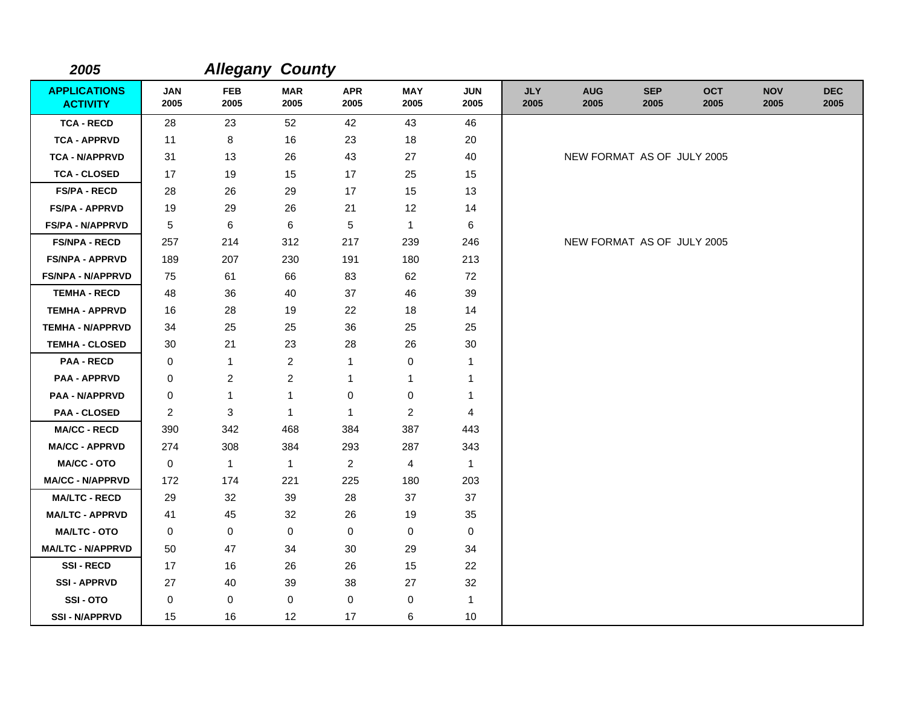| 2005                                   |                    | <b>Allegany County</b> |                    |                    |                    |                    |                    |                            |                    |                    |                    |                    |
|----------------------------------------|--------------------|------------------------|--------------------|--------------------|--------------------|--------------------|--------------------|----------------------------|--------------------|--------------------|--------------------|--------------------|
| <b>APPLICATIONS</b><br><b>ACTIVITY</b> | <b>JAN</b><br>2005 | <b>FEB</b><br>2005     | <b>MAR</b><br>2005 | <b>APR</b><br>2005 | <b>MAY</b><br>2005 | <b>JUN</b><br>2005 | <b>JLY</b><br>2005 | <b>AUG</b><br>2005         | <b>SEP</b><br>2005 | <b>OCT</b><br>2005 | <b>NOV</b><br>2005 | <b>DEC</b><br>2005 |
| <b>TCA - RECD</b>                      | 28                 | 23                     | 52                 | 42                 | 43                 | 46                 |                    |                            |                    |                    |                    |                    |
| <b>TCA - APPRVD</b>                    | 11                 | 8                      | 16                 | 23                 | 18                 | 20                 |                    |                            |                    |                    |                    |                    |
| <b>TCA - N/APPRVD</b>                  | 31                 | 13                     | 26                 | 43                 | 27                 | 40                 |                    | NEW FORMAT AS OF JULY 2005 |                    |                    |                    |                    |
| <b>TCA - CLOSED</b>                    | 17                 | 19                     | 15                 | 17                 | 25                 | 15                 |                    |                            |                    |                    |                    |                    |
| <b>FS/PA - RECD</b>                    | 28                 | 26                     | 29                 | 17                 | 15                 | 13                 |                    |                            |                    |                    |                    |                    |
| <b>FS/PA - APPRVD</b>                  | 19                 | 29                     | 26                 | 21                 | 12                 | 14                 |                    |                            |                    |                    |                    |                    |
| <b>FS/PA - N/APPRVD</b>                | 5                  | 6                      | 6                  | 5                  | $\mathbf{1}$       | 6                  |                    |                            |                    |                    |                    |                    |
| <b>FS/NPA - RECD</b>                   | 257                | 214                    | 312                | 217                | 239                | 246                |                    | NEW FORMAT AS OF JULY 2005 |                    |                    |                    |                    |
| <b>FS/NPA - APPRVD</b>                 | 189                | 207                    | 230                | 191                | 180                | 213                |                    |                            |                    |                    |                    |                    |
| <b>FS/NPA - N/APPRVD</b>               | 75                 | 61                     | 66                 | 83                 | 62                 | 72                 |                    |                            |                    |                    |                    |                    |
| <b>TEMHA - RECD</b>                    | 48                 | 36                     | 40                 | 37                 | 46                 | 39                 |                    |                            |                    |                    |                    |                    |
| <b>TEMHA - APPRVD</b>                  | 16                 | 28                     | 19                 | 22                 | 18                 | 14                 |                    |                            |                    |                    |                    |                    |
| <b>TEMHA - N/APPRVD</b>                | 34                 | 25                     | 25                 | 36                 | 25                 | 25                 |                    |                            |                    |                    |                    |                    |
| <b>TEMHA - CLOSED</b>                  | 30                 | 21                     | 23                 | 28                 | 26                 | $30\,$             |                    |                            |                    |                    |                    |                    |
| <b>PAA - RECD</b>                      | 0                  | $\mathbf{1}$           | $\overline{2}$     | 1                  | 0                  | $\mathbf 1$        |                    |                            |                    |                    |                    |                    |
| <b>PAA - APPRVD</b>                    | 0                  | $\overline{c}$         | $\boldsymbol{2}$   | 1                  | 1                  | -1                 |                    |                            |                    |                    |                    |                    |
| <b>PAA - N/APPRVD</b>                  | 0                  | $\mathbf{1}$           | 1                  | 0                  | 0                  | -1                 |                    |                            |                    |                    |                    |                    |
| <b>PAA - CLOSED</b>                    | $\mathbf{2}$       | 3                      | $\mathbf{1}$       | $\mathbf{1}$       | $\overline{2}$     | 4                  |                    |                            |                    |                    |                    |                    |
| <b>MA/CC - RECD</b>                    | 390                | 342                    | 468                | 384                | 387                | 443                |                    |                            |                    |                    |                    |                    |
| <b>MA/CC - APPRVD</b>                  | 274                | 308                    | 384                | 293                | 287                | 343                |                    |                            |                    |                    |                    |                    |
| <b>MA/CC - OTO</b>                     | 0                  | $\mathbf{1}$           | $\mathbf{1}$       | $\overline{c}$     | 4                  | $\mathbf{1}$       |                    |                            |                    |                    |                    |                    |
| <b>MA/CC - N/APPRVD</b>                | 172                | 174                    | 221                | 225                | 180                | 203                |                    |                            |                    |                    |                    |                    |
| <b>MA/LTC - RECD</b>                   | 29                 | 32                     | 39                 | 28                 | 37                 | 37                 |                    |                            |                    |                    |                    |                    |
| <b>MA/LTC - APPRVD</b>                 | 41                 | 45                     | 32                 | 26                 | 19                 | 35                 |                    |                            |                    |                    |                    |                    |
| <b>MA/LTC - OTO</b>                    | 0                  | 0                      | $\mathbf 0$        | 0                  | 0                  | 0                  |                    |                            |                    |                    |                    |                    |
| <b>MA/LTC - N/APPRVD</b>               | 50                 | 47                     | 34                 | 30                 | 29                 | 34                 |                    |                            |                    |                    |                    |                    |
| <b>SSI-RECD</b>                        | 17                 | 16                     | 26                 | 26                 | 15                 | 22                 |                    |                            |                    |                    |                    |                    |
| <b>SSI - APPRVD</b>                    | 27                 | 40                     | 39                 | 38                 | 27                 | 32                 |                    |                            |                    |                    |                    |                    |
| SSI-OTO                                | 0                  | 0                      | $\mathbf 0$        | 0                  | 0                  | $\mathbf{1}$       |                    |                            |                    |                    |                    |                    |
| <b>SSI - N/APPRVD</b>                  | 15                 | 16                     | 12                 | 17                 | 6                  | $10$               |                    |                            |                    |                    |                    |                    |